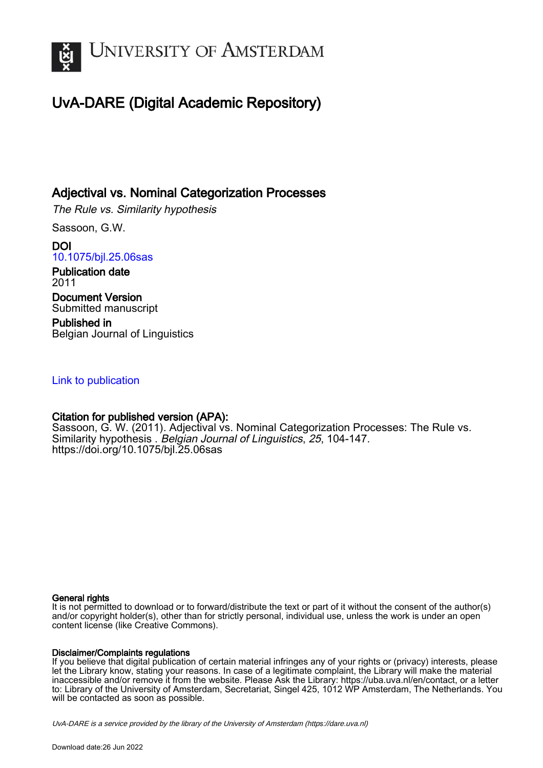

# UvA-DARE (Digital Academic Repository)

# Adjectival vs. Nominal Categorization Processes

The Rule vs. Similarity hypothesis

Sassoon, G.W.

DOI [10.1075/bjl.25.06sas](https://doi.org/10.1075/bjl.25.06sas)

Publication date 2011 Document Version Submitted manuscript

Published in Belgian Journal of Linguistics

# [Link to publication](https://dare.uva.nl/personal/pure/en/publications/adjectival-vs-nominal-categorization-processes(da55c800-c4fb-487b-a82f-5a536e71753a).html)

# Citation for published version (APA):

Sassoon, G. W. (2011). Adjectival vs. Nominal Categorization Processes: The Rule vs. Similarity hypothesis . Belgian Journal of Linguistics, 25, 104-147. <https://doi.org/10.1075/bjl.25.06sas>

#### General rights

It is not permitted to download or to forward/distribute the text or part of it without the consent of the author(s) and/or copyright holder(s), other than for strictly personal, individual use, unless the work is under an open content license (like Creative Commons).

#### Disclaimer/Complaints regulations

If you believe that digital publication of certain material infringes any of your rights or (privacy) interests, please let the Library know, stating your reasons. In case of a legitimate complaint, the Library will make the material inaccessible and/or remove it from the website. Please Ask the Library: https://uba.uva.nl/en/contact, or a letter to: Library of the University of Amsterdam, Secretariat, Singel 425, 1012 WP Amsterdam, The Netherlands. You will be contacted as soon as possible.

UvA-DARE is a service provided by the library of the University of Amsterdam (http*s*://dare.uva.nl)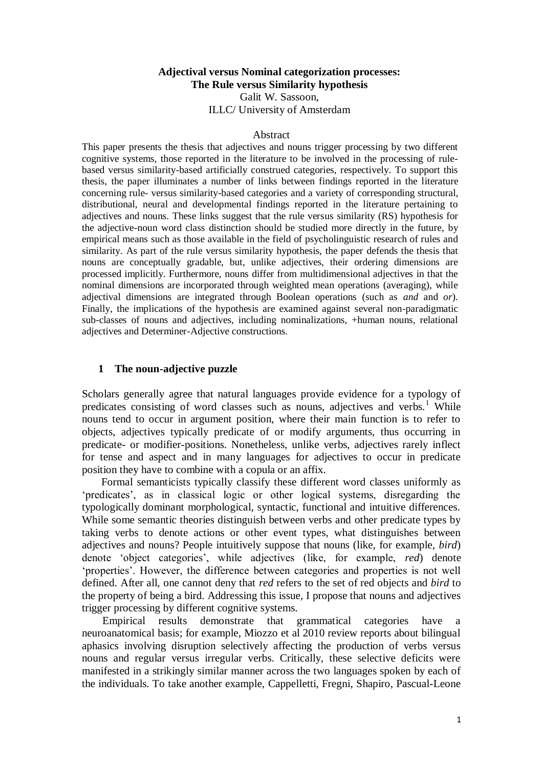# **Adjectival versus Nominal categorization processes: The Rule versus Similarity hypothesis**

Galit W. Sassoon, ILLC/ University of Amsterdam

#### Abstract

This paper presents the thesis that adjectives and nouns trigger processing by two different cognitive systems, those reported in the literature to be involved in the processing of rulebased versus similarity-based artificially construed categories, respectively. To support this thesis, the paper illuminates a number of links between findings reported in the literature concerning rule- versus similarity-based categories and a variety of corresponding structural, distributional, neural and developmental findings reported in the literature pertaining to adjectives and nouns. These links suggest that the rule versus similarity (RS) hypothesis for the adjective-noun word class distinction should be studied more directly in the future, by empirical means such as those available in the field of psycholinguistic research of rules and similarity. As part of the rule versus similarity hypothesis, the paper defends the thesis that nouns are conceptually gradable, but, unlike adjectives, their ordering dimensions are processed implicitly. Furthermore, nouns differ from multidimensional adjectives in that the nominal dimensions are incorporated through weighted mean operations (averaging), while adjectival dimensions are integrated through Boolean operations (such as *and* and *or*). Finally, the implications of the hypothesis are examined against several non-paradigmatic sub-classes of nouns and adjectives, including nominalizations, +human nouns, relational adjectives and Determiner-Adjective constructions.

#### **1 The noun-adjective puzzle**

Scholars generally agree that natural languages provide evidence for a typology of predicates consisting of word classes such as nouns, adjectives and verbs.<sup>1</sup> While nouns tend to occur in argument position, where their main function is to refer to objects, adjectives typically predicate of or modify arguments, thus occurring in predicate- or modifier-positions. Nonetheless, unlike verbs, adjectives rarely inflect for tense and aspect and in many languages for adjectives to occur in predicate position they have to combine with a copula or an affix.

Formal semanticists typically classify these different word classes uniformly as ‗predicates', as in classical logic or other logical systems, disregarding the typologically dominant morphological, syntactic, functional and intuitive differences. While some semantic theories distinguish between verbs and other predicate types by taking verbs to denote actions or other event types, what distinguishes between adjectives and nouns? People intuitively suppose that nouns (like, for example, *bird*) denote 'object categories', while adjectives (like, for example, *red*) denote ‗properties'. However, the difference between categories and properties is not well defined. After all, one cannot deny that *red* refers to the set of red objects and *bird* to the property of being a bird. Addressing this issue, I propose that nouns and adjectives trigger processing by different cognitive systems.

Empirical results demonstrate that grammatical categories have a neuroanatomical basis; for example, Miozzo et al 2010 review reports about bilingual aphasics involving disruption selectively affecting the production of verbs versus nouns and regular versus irregular verbs. Critically, these selective deficits were manifested in a strikingly similar manner across the two languages spoken by each of the individuals. To take another example, Cappelletti, Fregni, Shapiro, Pascual-Leone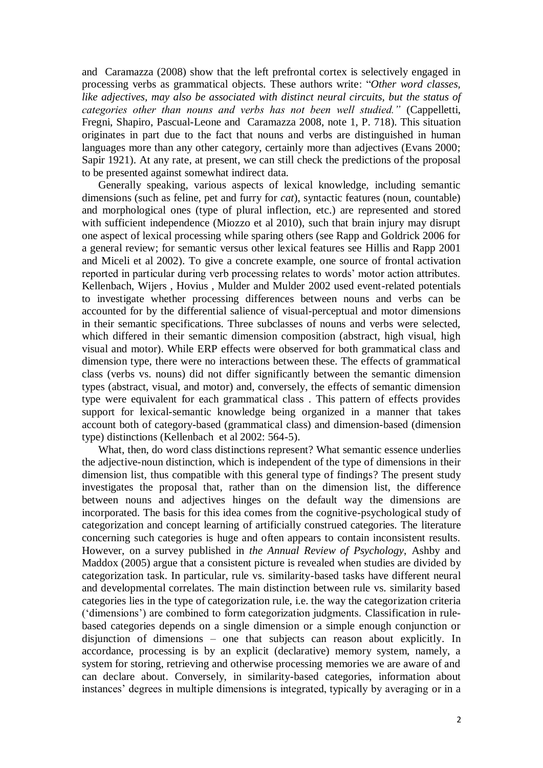and Caramazza (2008) show that the left prefrontal cortex is selectively engaged in processing verbs as grammatical objects. These authors write: "Other word classes, *like adjectives, may also be associated with distinct neural circuits, but the status of categories other than nouns and verbs has not been well studied."* (Cappelletti, Fregni, Shapiro, Pascual-Leone and Caramazza 2008, note 1, P. 718). This situation originates in part due to the fact that nouns and verbs are distinguished in human languages more than any other category, certainly more than adjectives (Evans 2000; Sapir 1921). At any rate, at present, we can still check the predictions of the proposal to be presented against somewhat indirect data.

Generally speaking, various aspects of lexical knowledge, including semantic dimensions (such as feline, pet and furry for *cat*), syntactic features (noun, countable) and morphological ones (type of plural inflection, etc.) are represented and stored with sufficient independence (Miozzo et al 2010), such that brain injury may disrupt one aspect of lexical processing while sparing others (see Rapp and Goldrick 2006 for a general review; for semantic versus other lexical features see Hillis and Rapp 2001 and Miceli et al 2002). To give a concrete example, one source of frontal activation reported in particular during verb processing relates to words' motor action attributes. Kellenbach, Wijers , Hovius , Mulder and Mulder 2002 used event-related potentials to investigate whether processing differences between nouns and verbs can be accounted for by the differential salience of visual-perceptual and motor dimensions in their semantic specifications. Three subclasses of nouns and verbs were selected, which differed in their semantic dimension composition (abstract, high visual, high visual and motor). While ERP effects were observed for both grammatical class and dimension type, there were no interactions between these. The effects of grammatical class (verbs vs. nouns) did not differ significantly between the semantic dimension types (abstract, visual, and motor) and, conversely, the effects of semantic dimension type were equivalent for each grammatical class . This pattern of effects provides support for lexical-semantic knowledge being organized in a manner that takes account both of category-based (grammatical class) and dimension-based (dimension type) distinctions (Kellenbach et al 2002: 564-5).

What, then, do word class distinctions represent? What semantic essence underlies the adjective-noun distinction, which is independent of the type of dimensions in their dimension list, thus compatible with this general type of findings? The present study investigates the proposal that, rather than on the dimension list, the difference between nouns and adjectives hinges on the default way the dimensions are incorporated. The basis for this idea comes from the cognitive-psychological study of categorization and concept learning of artificially construed categories. The literature concerning such categories is huge and often appears to contain inconsistent results. However, on a survey published in *the Annual Review of Psychology*, Ashby and Maddox (2005) argue that a consistent picture is revealed when studies are divided by categorization task. In particular, rule vs. similarity-based tasks have different neural and developmental correlates. The main distinction between rule vs. similarity based categories lies in the type of categorization rule, i.e. the way the categorization criteria (‗dimensions') are combined to form categorization judgments. Classification in rulebased categories depends on a single dimension or a simple enough conjunction or disjunction of dimensions – one that subjects can reason about explicitly. In accordance, processing is by an explicit (declarative) memory system, namely, a system for storing, retrieving and otherwise processing memories we are aware of and can declare about. Conversely, in similarity-based categories, information about instances' degrees in multiple dimensions is integrated, typically by averaging or in a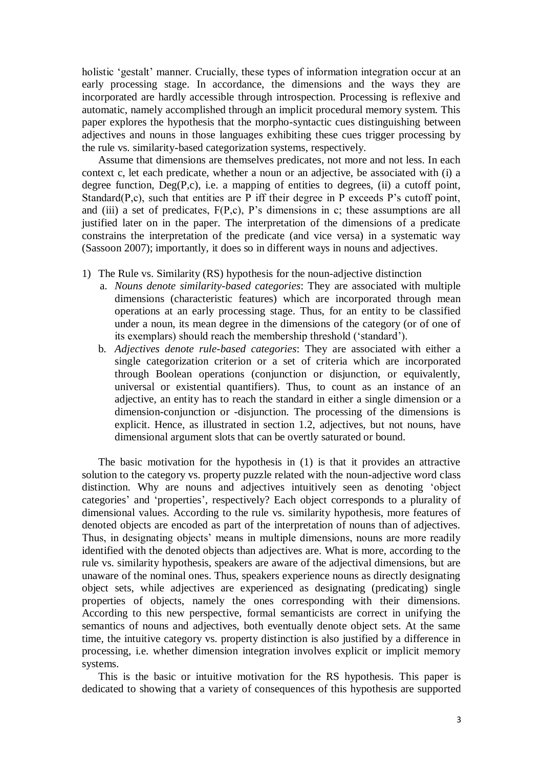holistic 'gestalt' manner. Crucially, these types of information integration occur at an early processing stage. In accordance, the dimensions and the ways they are incorporated are hardly accessible through introspection. Processing is reflexive and automatic, namely accomplished through an implicit procedural memory system. This paper explores the hypothesis that the morpho-syntactic cues distinguishing between adjectives and nouns in those languages exhibiting these cues trigger processing by the rule vs. similarity-based categorization systems, respectively.

Assume that dimensions are themselves predicates, not more and not less. In each context c, let each predicate, whether a noun or an adjective, be associated with (i) a degree function,  $Deg(P,c)$ , i.e. a mapping of entities to degrees, (ii) a cutoff point, Standard $(P, c)$ , such that entities are P iff their degree in P exceeds P's cutoff point, and (iii) a set of predicates, F(P,c), P's dimensions in c; these assumptions are all justified later on in the paper. The interpretation of the dimensions of a predicate constrains the interpretation of the predicate (and vice versa) in a systematic way (Sassoon 2007); importantly, it does so in different ways in nouns and adjectives.

- 1) The Rule vs. Similarity (RS) hypothesis for the noun-adjective distinction
	- a. *Nouns denote similarity-based categories*: They are associated with multiple dimensions (characteristic features) which are incorporated through mean operations at an early processing stage. Thus, for an entity to be classified under a noun, its mean degree in the dimensions of the category (or of one of its exemplars) should reach the membership threshold ('standard').
	- b. *Adjectives denote rule-based categories*: They are associated with either a single categorization criterion or a set of criteria which are incorporated through Boolean operations (conjunction or disjunction, or equivalently, universal or existential quantifiers). Thus, to count as an instance of an adjective, an entity has to reach the standard in either a single dimension or a dimension-conjunction or -disjunction. The processing of the dimensions is explicit. Hence, as illustrated in section 1.2, adjectives, but not nouns, have dimensional argument slots that can be overtly saturated or bound.

The basic motivation for the hypothesis in (1) is that it provides an attractive solution to the category vs. property puzzle related with the noun-adjective word class distinction. Why are nouns and adjectives intuitively seen as denoting 'object categories' and ‗properties', respectively? Each object corresponds to a plurality of dimensional values. According to the rule vs. similarity hypothesis, more features of denoted objects are encoded as part of the interpretation of nouns than of adjectives. Thus, in designating objects' means in multiple dimensions, nouns are more readily identified with the denoted objects than adjectives are. What is more, according to the rule vs. similarity hypothesis, speakers are aware of the adjectival dimensions, but are unaware of the nominal ones. Thus, speakers experience nouns as directly designating object sets, while adjectives are experienced as designating (predicating) single properties of objects, namely the ones corresponding with their dimensions. According to this new perspective, formal semanticists are correct in unifying the semantics of nouns and adjectives, both eventually denote object sets. At the same time, the intuitive category vs. property distinction is also justified by a difference in processing, i.e. whether dimension integration involves explicit or implicit memory systems.

This is the basic or intuitive motivation for the RS hypothesis. This paper is dedicated to showing that a variety of consequences of this hypothesis are supported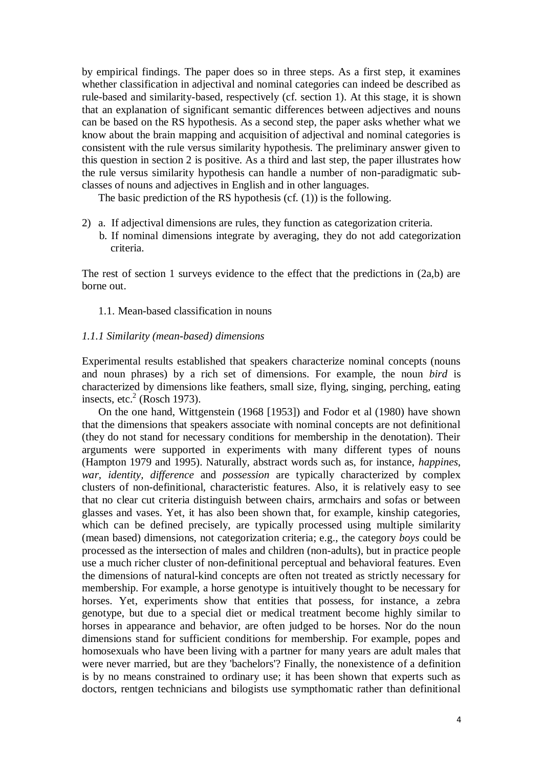by empirical findings. The paper does so in three steps. As a first step, it examines whether classification in adjectival and nominal categories can indeed be described as rule-based and similarity-based, respectively (cf. section 1). At this stage, it is shown that an explanation of significant semantic differences between adjectives and nouns can be based on the RS hypothesis. As a second step, the paper asks whether what we know about the brain mapping and acquisition of adjectival and nominal categories is consistent with the rule versus similarity hypothesis. The preliminary answer given to this question in section 2 is positive. As a third and last step, the paper illustrates how the rule versus similarity hypothesis can handle a number of non-paradigmatic subclasses of nouns and adjectives in English and in other languages.

The basic prediction of the RS hypothesis (cf. (1)) is the following.

2) a. If adjectival dimensions are rules, they function as categorization criteria. b. If nominal dimensions integrate by averaging, they do not add categorization criteria.

The rest of section 1 surveys evidence to the effect that the predictions in  $(2a,b)$  are borne out.

1.1. Mean-based classification in nouns

#### *1.1.1 Similarity (mean-based) dimensions*

Experimental results established that speakers characterize nominal concepts (nouns and noun phrases) by a rich set of dimensions. For example, the noun *bird* is characterized by dimensions like feathers, small size, flying, singing, perching, eating insects, etc. $2$  (Rosch 1973).

On the one hand, Wittgenstein (1968 [1953]) and Fodor et al (1980) have shown that the dimensions that speakers associate with nominal concepts are not definitional (they do not stand for necessary conditions for membership in the denotation). Their arguments were supported in experiments with many different types of nouns (Hampton 1979 and 1995). Naturally, abstract words such as, for instance, *happines*, *war, identity, difference* and *possession* are typically characterized by complex clusters of non-definitional, characteristic features. Also, it is relatively easy to see that no clear cut criteria distinguish between chairs, armchairs and sofas or between glasses and vases. Yet, it has also been shown that, for example, kinship categories, which can be defined precisely, are typically processed using multiple similarity (mean based) dimensions, not categorization criteria; e.g., the category *boys* could be processed as the intersection of males and children (non-adults), but in practice people use a much richer cluster of non-definitional perceptual and behavioral features. Even the dimensions of natural-kind concepts are often not treated as strictly necessary for membership. For example, a horse genotype is intuitively thought to be necessary for horses. Yet, experiments show that entities that possess, for instance, a zebra genotype, but due to a special diet or medical treatment become highly similar to horses in appearance and behavior, are often judged to be horses. Nor do the noun dimensions stand for sufficient conditions for membership. For example, popes and homosexuals who have been living with a partner for many years are adult males that were never married, but are they 'bachelors'? Finally, the nonexistence of a definition is by no means constrained to ordinary use; it has been shown that experts such as doctors, rentgen technicians and bilogists use sympthomatic rather than definitional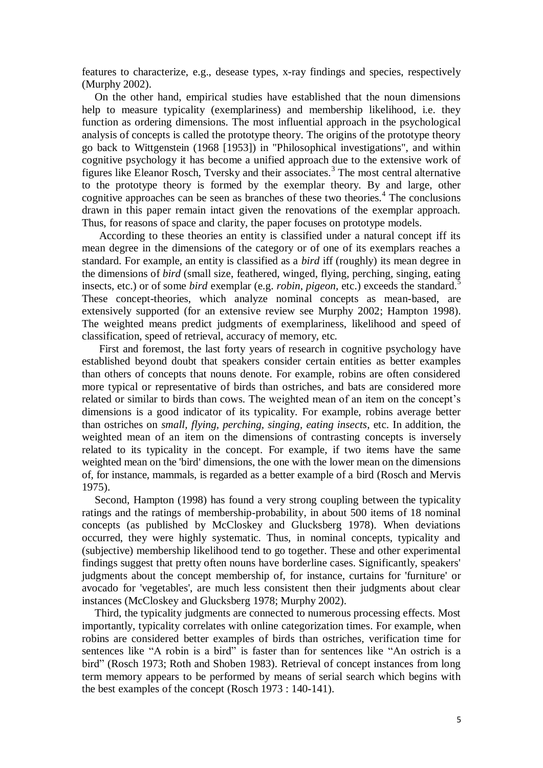features to characterize, e.g., desease types, x-ray findings and species, respectively (Murphy 2002).

On the other hand, empirical studies have established that the noun dimensions help to measure typicality (exemplariness) and membership likelihood, i.e. they function as ordering dimensions. The most influential approach in the psychological analysis of concepts is called the prototype theory. The origins of the prototype theory go back to Wittgenstein (1968 [1953]) in "Philosophical investigations", and within cognitive psychology it has become a unified approach due to the extensive work of figures like Eleanor Rosch, Tversky and their associates.<sup>3</sup> The most central alternative to the prototype theory is formed by the exemplar theory. By and large, other cognitive approaches can be seen as branches of these two theories.<sup>4</sup> The conclusions drawn in this paper remain intact given the renovations of the exemplar approach. Thus, for reasons of space and clarity, the paper focuses on prototype models.

According to these theories an entity is classified under a natural concept iff its mean degree in the dimensions of the category or of one of its exemplars reaches a standard. For example, an entity is classified as a *bird* iff (roughly) its mean degree in the dimensions of *bird* (small size, feathered, winged, flying, perching, singing, eating insects, etc.) or of some *bird* exemplar (e.g. *robin, pigeon,* etc.) exceeds the standard.<sup>5</sup> These concept-theories, which analyze nominal concepts as mean-based, are extensively supported (for an extensive review see Murphy 2002; Hampton 1998). The weighted means predict judgments of exemplariness, likelihood and speed of classification, speed of retrieval, accuracy of memory, etc.

First and foremost, the last forty years of research in cognitive psychology have established beyond doubt that speakers consider certain entities as better examples than others of concepts that nouns denote. For example, robins are often considered more typical or representative of birds than ostriches, and bats are considered more related or similar to birds than cows. The weighted mean of an item on the concept's dimensions is a good indicator of its typicality. For example, robins average better than ostriches on *small, flying, perching, singing, eating insects*, etc. In addition, the weighted mean of an item on the dimensions of contrasting concepts is inversely related to its typicality in the concept. For example, if two items have the same weighted mean on the 'bird' dimensions, the one with the lower mean on the dimensions of, for instance, mammals, is regarded as a better example of a bird (Rosch and Mervis 1975).

Second, Hampton (1998) has found a very strong coupling between the typicality ratings and the ratings of membership-probability, in about 500 items of 18 nominal concepts (as published by McCloskey and Glucksberg 1978). When deviations occurred, they were highly systematic. Thus, in nominal concepts, typicality and (subjective) membership likelihood tend to go together. These and other experimental findings suggest that pretty often nouns have borderline cases. Significantly, speakers' judgments about the concept membership of, for instance, curtains for 'furniture' or avocado for 'vegetables', are much less consistent then their judgments about clear instances (McCloskey and Glucksberg 1978; Murphy 2002).

Third, the typicality judgments are connected to numerous processing effects. Most importantly, typicality correlates with online categorization times. For example, when robins are considered better examples of birds than ostriches, verification time for sentences like "A robin is a bird" is faster than for sentences like "An ostrich is a bird" (Rosch 1973; Roth and Shoben 1983). Retrieval of concept instances from long term memory appears to be performed by means of serial search which begins with the best examples of the concept (Rosch 1973 : 140-141).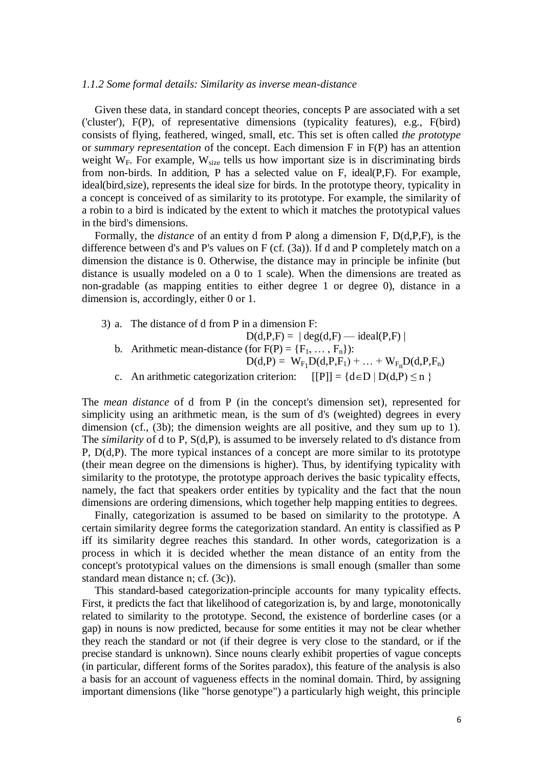#### *1.1.2 Some formal details: Similarity as inverse mean-distance*

Given these data, in standard concept theories, concepts P are associated with a set ('cluster'), F(P), of representative dimensions (typicality features), e.g., F(bird) consists of flying, feathered, winged, small, etc. This set is often called *the prototype* or *summary representation* of the concept. Each dimension F in F(P) has an attention weight  $W_F$ . For example,  $W_{size}$  tells us how important size is in discriminating birds from non-birds. In addition, P has a selected value on F, ideal(P,F). For example, ideal(bird,size), represents the ideal size for birds. In the prototype theory, typicality in a concept is conceived of as similarity to its prototype. For example, the similarity of a robin to a bird is indicated by the extent to which it matches the prototypical values in the bird's dimensions.

Formally, the *distance* of an entity d from P along a dimension F, D(d,P,F), is the difference between d's and P's values on F (cf. (3a)). If d and P completely match on a dimension the distance is 0. Otherwise, the distance may in principle be infinite (but distance is usually modeled on a 0 to 1 scale). When the dimensions are treated as non-gradable (as mapping entities to either degree 1 or degree 0), distance in a dimension is, accordingly, either 0 or 1.

- 3) a. The distance of d from P in a dimension F:
	- $D(d,P,F) = | \deg(d,F) \text{ideal}(P,F) |$ b. Arithmetic mean-distance (for  $F(P) = \{F_1, \ldots, F_n\}$ ):  $D(d,P) = W_{F_1}D(d,P,F_1) + ... + W_{F_n}D(d,P,F_n)$
	- c. An arithmetic categorization criterion:  $[ [P]] = {d \in D | D(d, P) \le n }$

The *mean distance* of d from P (in the concept's dimension set), represented for simplicity using an arithmetic mean, is the sum of d's (weighted) degrees in every dimension (cf., (3b); the dimension weights are all positive, and they sum up to 1). The *similarity* of d to P, S(d,P), is assumed to be inversely related to d's distance from P, D(d,P). The more typical instances of a concept are more similar to its prototype (their mean degree on the dimensions is higher). Thus, by identifying typicality with similarity to the prototype, the prototype approach derives the basic typicality effects, namely, the fact that speakers order entities by typicality and the fact that the noun dimensions are ordering dimensions, which together help mapping entities to degrees.

Finally, categorization is assumed to be based on similarity to the prototype. A certain similarity degree forms the categorization standard. An entity is classified as P iff its similarity degree reaches this standard. In other words, categorization is a process in which it is decided whether the mean distance of an entity from the concept's prototypical values on the dimensions is small enough (smaller than some standard mean distance n; cf. (3c)).

This standard-based categorization-principle accounts for many typicality effects. First, it predicts the fact that likelihood of categorization is, by and large, monotonically related to similarity to the prototype. Second, the existence of borderline cases (or a gap) in nouns is now predicted, because for some entities it may not be clear whether they reach the standard or not (if their degree is very close to the standard, or if the precise standard is unknown). Since nouns clearly exhibit properties of vague concepts (in particular, different forms of the Sorites paradox), this feature of the analysis is also a basis for an account of vagueness effects in the nominal domain. Third, by assigning important dimensions (like "horse genotype") a particularly high weight, this principle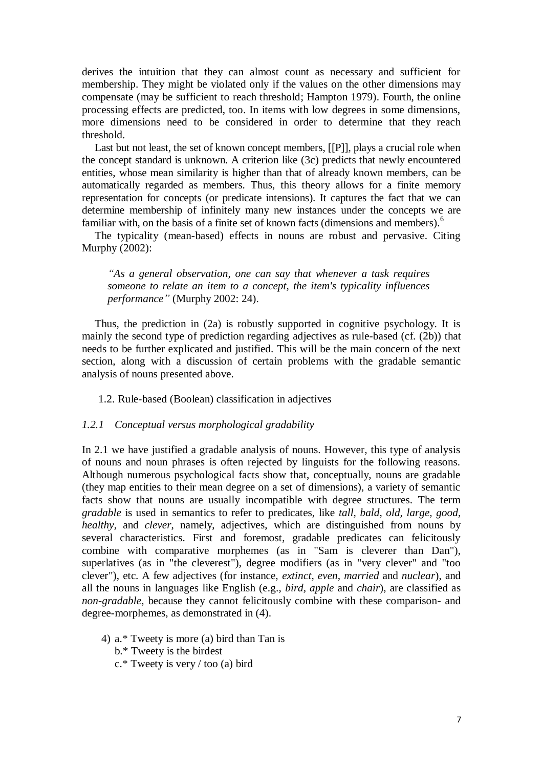derives the intuition that they can almost count as necessary and sufficient for membership. They might be violated only if the values on the other dimensions may compensate (may be sufficient to reach threshold; Hampton 1979). Fourth, the online processing effects are predicted, too. In items with low degrees in some dimensions, more dimensions need to be considered in order to determine that they reach threshold.

Last but not least, the set of known concept members, [[P]], plays a crucial role when the concept standard is unknown. A criterion like (3c) predicts that newly encountered entities, whose mean similarity is higher than that of already known members, can be automatically regarded as members. Thus, this theory allows for a finite memory representation for concepts (or predicate intensions). It captures the fact that we can determine membership of infinitely many new instances under the concepts we are familiar with, on the basis of a finite set of known facts (dimensions and members).<sup>6</sup>

The typicality (mean-based) effects in nouns are robust and pervasive. Citing Murphy (2002):

*"As a general observation, one can say that whenever a task requires someone to relate an item to a concept, the item's typicality influences performance"* (Murphy 2002: 24).

Thus, the prediction in (2a) is robustly supported in cognitive psychology. It is mainly the second type of prediction regarding adjectives as rule-based (cf. (2b)) that needs to be further explicated and justified. This will be the main concern of the next section, along with a discussion of certain problems with the gradable semantic analysis of nouns presented above.

1.2. Rule-based (Boolean) classification in adjectives

#### *1.2.1 Conceptual versus morphological gradability*

In 2.1 we have justified a gradable analysis of nouns. However, this type of analysis of nouns and noun phrases is often rejected by linguists for the following reasons. Although numerous psychological facts show that, conceptually, nouns are gradable (they map entities to their mean degree on a set of dimensions), a variety of semantic facts show that nouns are usually incompatible with degree structures. The term *gradable* is used in semantics to refer to predicates, like *tall, bald, old, large, good, healthy,* and *clever*, namely, adjectives, which are distinguished from nouns by several characteristics. First and foremost, gradable predicates can felicitously combine with comparative morphemes (as in "Sam is cleverer than Dan"), superlatives (as in "the cleverest"), degree modifiers (as in "very clever" and "too clever"), etc. A few adjectives (for instance, *extinct, even, married* and *nuclear*), and all the nouns in languages like English (e.g., *bird, apple* and *chair*), are classified as *non-gradable*, because they cannot felicitously combine with these comparison- and degree-morphemes, as demonstrated in (4).

- 4) a.\* Tweety is more (a) bird than Tan is
	- b.\* Tweety is the birdest
	- c.\* Tweety is very / too (a) bird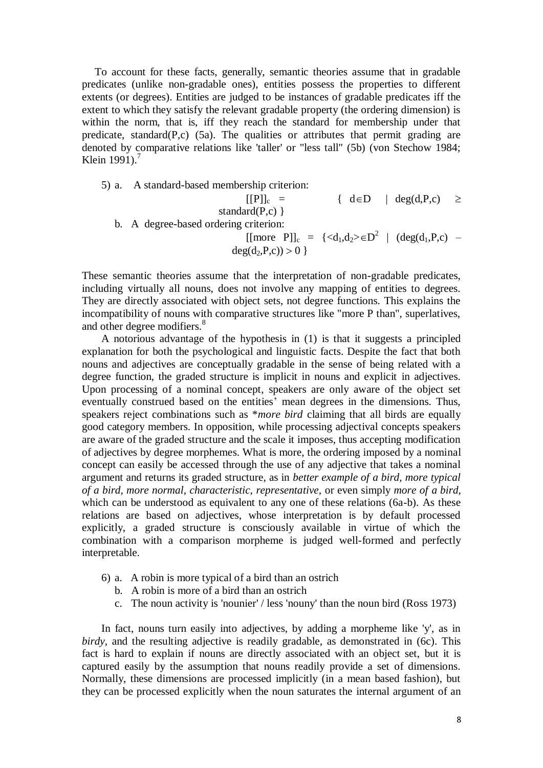To account for these facts, generally, semantic theories assume that in gradable predicates (unlike non-gradable ones), entities possess the properties to different extents (or degrees). Entities are judged to be instances of gradable predicates iff the extent to which they satisfy the relevant gradable property (the ordering dimension) is within the norm, that is, iff they reach the standard for membership under that predicate, standard $(P, c)$  (5a). The qualities or attributes that permit grading are denoted by comparative relations like 'taller' or "less tall" (5b) (von Stechow 1984; Klein 1991).<sup>7</sup>

5) a. A standard-based membership criterion: [[P]]<sup>c</sup> = { dD | deg(d,P,c) standard(P,c) } b. A degree-based ordering criterion: [[more P]]<sup>c</sup> = {<d1,d2>D 2 | (deg(d1,P,c) – deg(d2,P,c)) 0 }

These semantic theories assume that the interpretation of non-gradable predicates, including virtually all nouns, does not involve any mapping of entities to degrees. They are directly associated with object sets, not degree functions. This explains the incompatibility of nouns with comparative structures like "more P than", superlatives, and other degree modifiers.<sup>8</sup>

A notorious advantage of the hypothesis in (1) is that it suggests a principled explanation for both the psychological and linguistic facts. Despite the fact that both nouns and adjectives are conceptually gradable in the sense of being related with a degree function, the graded structure is implicit in nouns and explicit in adjectives. Upon processing of a nominal concept, speakers are only aware of the object set eventually construed based on the entities' mean degrees in the dimensions. Thus, speakers reject combinations such as \**more bird* claiming that all birds are equally good category members. In opposition, while processing adjectival concepts speakers are aware of the graded structure and the scale it imposes, thus accepting modification of adjectives by degree morphemes. What is more, the ordering imposed by a nominal concept can easily be accessed through the use of any adjective that takes a nominal argument and returns its graded structure, as in *better example of a bird, more typical of a bird, more normal, characteristic, representative,* or even simply *more of a bird*, which can be understood as equivalent to any one of these relations (6a-b). As these relations are based on adjectives, whose interpretation is by default processed explicitly, a graded structure is consciously available in virtue of which the combination with a comparison morpheme is judged well-formed and perfectly interpretable.

- 6) a. A robin is more typical of a bird than an ostrich
	- b. A robin is more of a bird than an ostrich
	- c. The noun activity is 'nounier' / less 'nouny' than the noun bird (Ross 1973)

In fact, nouns turn easily into adjectives, by adding a morpheme like 'y', as in birdy, and the resulting adjective is readily gradable, as demonstrated in (6c). This fact is hard to explain if nouns are directly associated with an object set, but it is captured easily by the assumption that nouns readily provide a set of dimensions. Normally, these dimensions are processed implicitly (in a mean based fashion), but they can be processed explicitly when the noun saturates the internal argument of an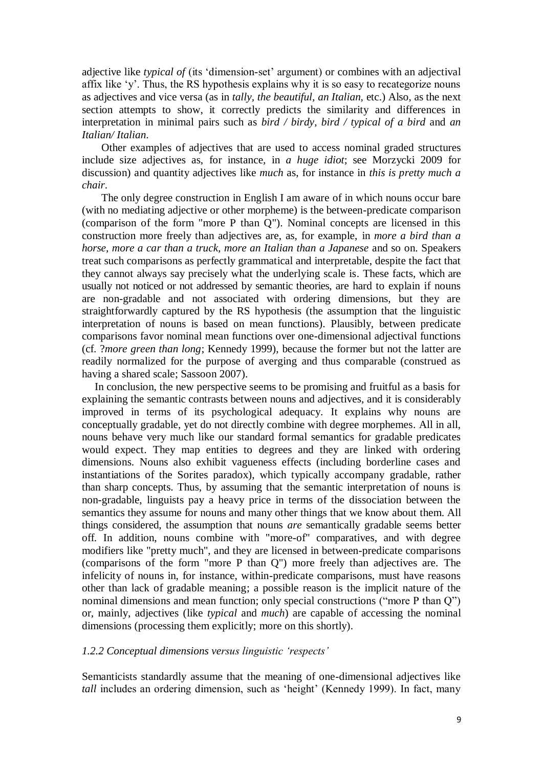adjective like *typical of* (its 'dimension-set' argument) or combines with an adjectival affix like ‗y'. Thus, the RS hypothesis explains why it is so easy to recategorize nouns as adjectives and vice versa (as in *tally, the beautiful, an Italian,* etc.) Also, as the next section attempts to show, it correctly predicts the similarity and differences in interpretation in minimal pairs such as *bird / birdy*, *bird / typical of a bird* and *an Italian/ Italian*.

Other examples of adjectives that are used to access nominal graded structures include size adjectives as, for instance, in *a huge idiot*; see Morzycki 2009 for discussion) and quantity adjectives like *much* as, for instance in *this is pretty much a chair*.

The only degree construction in English I am aware of in which nouns occur bare (with no mediating adjective or other morpheme) is the between-predicate comparison (comparison of the form "more P than Q"). Nominal concepts are licensed in this construction more freely than adjectives are, as, for example, in *more a bird than a horse, more a car than a truck, more an Italian than a Japanese and so on. Speakers* treat such comparisons as perfectly grammatical and interpretable, despite the fact that they cannot always say precisely what the underlying scale is. These facts, which are usually not noticed or not addressed by semantic theories, are hard to explain if nouns are non-gradable and not associated with ordering dimensions, but they are straightforwardly captured by the RS hypothesis (the assumption that the linguistic interpretation of nouns is based on mean functions). Plausibly, between predicate comparisons favor nominal mean functions over one-dimensional adjectival functions (cf. ?*more green than long*; Kennedy 1999), because the former but not the latter are readily normalized for the purpose of averging and thus comparable (construed as having a shared scale; Sassoon 2007).

In conclusion, the new perspective seems to be promising and fruitful as a basis for explaining the semantic contrasts between nouns and adjectives, and it is considerably improved in terms of its psychological adequacy. It explains why nouns are conceptually gradable, yet do not directly combine with degree morphemes. All in all, nouns behave very much like our standard formal semantics for gradable predicates would expect. They map entities to degrees and they are linked with ordering dimensions. Nouns also exhibit vagueness effects (including borderline cases and instantiations of the Sorites paradox), which typically accompany gradable, rather than sharp concepts. Thus, by assuming that the semantic interpretation of nouns is non-gradable, linguists pay a heavy price in terms of the dissociation between the semantics they assume for nouns and many other things that we know about them. All things considered, the assumption that nouns *are* semantically gradable seems better off. In addition, nouns combine with "more-of" comparatives, and with degree modifiers like "pretty much", and they are licensed in between-predicate comparisons (comparisons of the form "more P than Q") more freely than adjectives are. The infelicity of nouns in, for instance, within-predicate comparisons, must have reasons other than lack of gradable meaning; a possible reason is the implicit nature of the nominal dimensions and mean function; only special constructions ("more P than O") or, mainly, adjectives (like *typical* and *much*) are capable of accessing the nominal dimensions (processing them explicitly; more on this shortly).

#### *1.2.2 Conceptual dimensions versus linguistic "respects"*

Semanticists standardly assume that the meaning of one-dimensional adjectives like *tall* includes an ordering dimension, such as 'height' (Kennedy 1999). In fact, many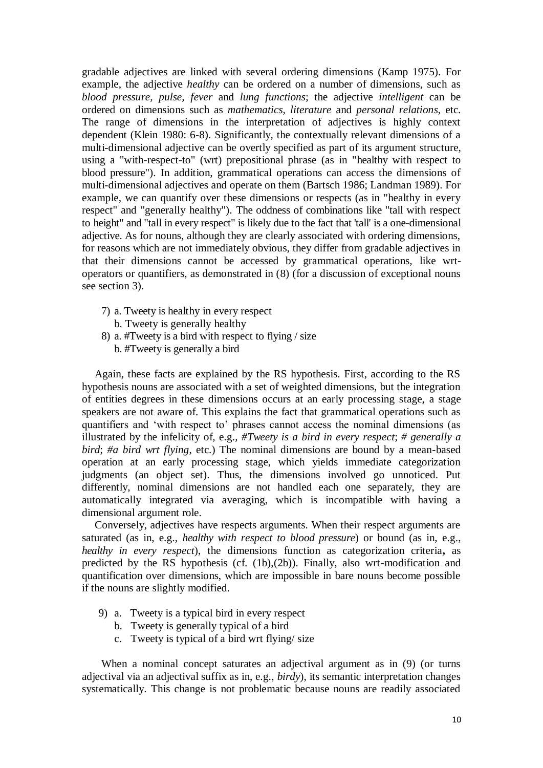gradable adjectives are linked with several ordering dimensions (Kamp 1975). For example, the adjective *healthy* can be ordered on a number of dimensions, such as *blood pressure, pulse, fever* and *lung functions*; the adjective *intelligent* can be ordered on dimensions such as *mathematics, literature* and *personal relations*, etc. The range of dimensions in the interpretation of adjectives is highly context dependent (Klein 1980: 6-8). Significantly, the contextually relevant dimensions of a multi-dimensional adjective can be overtly specified as part of its argument structure, using a "with-respect-to" (wrt) prepositional phrase (as in "healthy with respect to blood pressure"). In addition, grammatical operations can access the dimensions of multi-dimensional adjectives and operate on them (Bartsch 1986; Landman 1989). For example, we can quantify over these dimensions or respects (as in "healthy in every respect" and "generally healthy"). The oddness of combinations like "tall with respect to height" and "tall in every respect" is likely due to the fact that 'tall' is a one-dimensional adjective. As for nouns, although they are clearly associated with ordering dimensions, for reasons which are not immediately obvious, they differ from gradable adjectives in that their dimensions cannot be accessed by grammatical operations, like wrtoperators or quantifiers, as demonstrated in (8) (for a discussion of exceptional nouns see section 3).

- 7) a. Tweety is healthy in every respect
	- b. Tweety is generally healthy
- 8) a. #Tweety is a bird with respect to flying / size b. #Tweety is generally a bird

Again, these facts are explained by the RS hypothesis. First, according to the RS hypothesis nouns are associated with a set of weighted dimensions, but the integration of entities degrees in these dimensions occurs at an early processing stage, a stage speakers are not aware of. This explains the fact that grammatical operations such as quantifiers and ‗with respect to' phrases cannot access the nominal dimensions (as illustrated by the infelicity of, e.g., *#Tweety is a bird in every respect*; *# generally a bird*; *#a bird wrt flying*, etc.) The nominal dimensions are bound by a mean-based operation at an early processing stage, which yields immediate categorization judgments (an object set). Thus, the dimensions involved go unnoticed. Put differently, nominal dimensions are not handled each one separately, they are automatically integrated via averaging, which is incompatible with having a dimensional argument role.

Conversely, adjectives have respects arguments. When their respect arguments are saturated (as in, e.g., *healthy with respect to blood pressure*) or bound (as in, e.g., *healthy in every respect*), the dimensions function as categorization criteria**,** as predicted by the RS hypothesis (cf. (1b),(2b)). Finally, also wrt-modification and quantification over dimensions, which are impossible in bare nouns become possible if the nouns are slightly modified.

- 9) a. Tweety is a typical bird in every respect
	- b. Tweety is generally typical of a bird
	- c. Tweety is typical of a bird wrt flying/ size

When a nominal concept saturates an adjectival argument as in (9) (or turns adjectival via an adjectival suffix as in, e.g., *birdy*), its semantic interpretation changes systematically. This change is not problematic because nouns are readily associated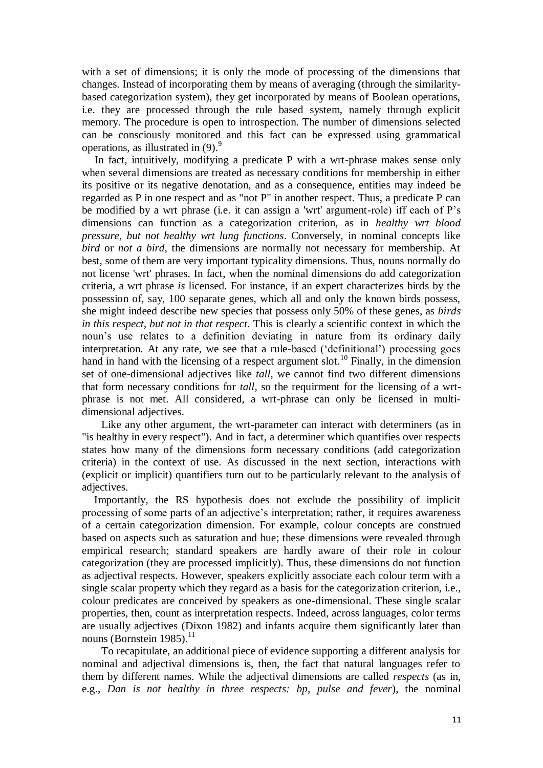with a set of dimensions; it is only the mode of processing of the dimensions that changes. Instead of incorporating them by means of averaging (through the similaritybased categorization system), they get incorporated by means of Boolean operations, i.e. they are processed through the rule based system, namely through explicit memory. The procedure is open to introspection. The number of dimensions selected can be consciously monitored and this fact can be expressed using grammatical operations, as illustrated in  $(9)$ .<sup>9</sup>

In fact, intuitively, modifying a predicate P with a wrt-phrase makes sense only when several dimensions are treated as necessary conditions for membership in either its positive or its negative denotation, and as a consequence, entities may indeed be regarded as P in one respect and as "not P" in another respect. Thus, a predicate P can be modified by a wrt phrase (i.e. it can assign a 'wrt' argument-role) iff each of P's dimensions can function as a categorization criterion, as in *healthy wrt blood pressure, but not healthy wrt lung functions*. Conversely, in nominal concepts like *bird* or *not a bird*, the dimensions are normally not necessary for membership. At best, some of them are very important typicality dimensions. Thus, nouns normally do not license 'wrt' phrases. In fact, when the nominal dimensions do add categorization criteria, a wrt phrase *is* licensed. For instance, if an expert characterizes birds by the possession of, say, 100 separate genes, which all and only the known birds possess, she might indeed describe new species that possess only 50% of these genes, as *birds in this respect, but not in that respect*. This is clearly a scientific context in which the noun's use relates to a definition deviating in nature from its ordinary daily interpretation. At any rate, we see that a rule-based ('definitional') processing goes hand in hand with the licensing of a respect argument slot.<sup>10</sup> Finally, in the dimension set of one-dimensional adjectives like *tall*, we cannot find two different dimensions that form necessary conditions for *tall*, so the requirment for the licensing of a wrtphrase is not met. All considered, a wrt-phrase can only be licensed in multidimensional adjectives.

Like any other argument, the wrt-parameter can interact with determiners (as in "is healthy in every respect"). And in fact, a determiner which quantifies over respects states how many of the dimensions form necessary conditions (add categorization criteria) in the context of use. As discussed in the next section, interactions with (explicit or implicit) quantifiers turn out to be particularly relevant to the analysis of adjectives.

Importantly, the RS hypothesis does not exclude the possibility of implicit processing of some parts of an adjective's interpretation; rather, it requires awareness of a certain categorization dimension. For example, colour concepts are construed based on aspects such as saturation and hue; these dimensions were revealed through empirical research; standard speakers are hardly aware of their role in colour categorization (they are processed implicitly). Thus, these dimensions do not function as adjectival respects. However, speakers explicitly associate each colour term with a single scalar property which they regard as a basis for the categorization criterion, i.e., colour predicates are conceived by speakers as one-dimensional. These single scalar properties, then, count as interpretation respects. Indeed, across languages, color terms are usually adjectives (Dixon 1982) and infants acquire them significantly later than nouns (Bornstein 1985). $^{11}$ 

To recapitulate, an additional piece of evidence supporting a different analysis for nominal and adjectival dimensions is, then, the fact that natural languages refer to them by different names. While the adjectival dimensions are called *respects* (as in, e.g., *Dan is not healthy in three respects: bp, pulse and fever*), the nominal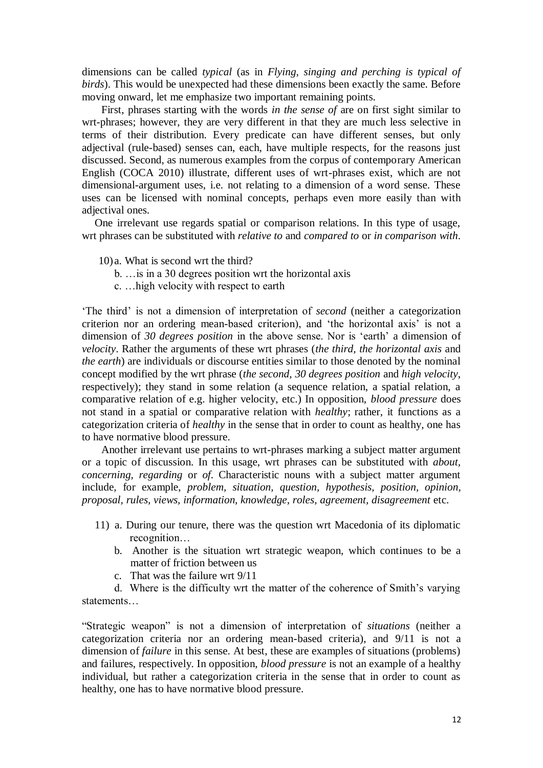dimensions can be called *typical* (as in *Flying, singing and perching is typical of birds*). This would be unexpected had these dimensions been exactly the same. Before moving onward, let me emphasize two important remaining points.

First, phrases starting with the words *in the sense of* are on first sight similar to wrt-phrases; however, they are very different in that they are much less selective in terms of their distribution. Every predicate can have different senses, but only adjectival (rule-based) senses can, each, have multiple respects, for the reasons just discussed. Second, as numerous examples from the corpus of contemporary American English (COCA 2010) illustrate, different uses of wrt-phrases exist, which are not dimensional-argument uses, i.e. not relating to a dimension of a word sense. These uses can be licensed with nominal concepts, perhaps even more easily than with adjectival ones.

One irrelevant use regards spatial or comparison relations. In this type of usage, wrt phrases can be substituted with *relative to* and *compared to* or *in comparison with*.

- 10)a. What is second wrt the third?
	- b. …is in a 30 degrees position wrt the horizontal axis
	- c. …high velocity with respect to earth

‗The third' is not a dimension of interpretation of *second* (neither a categorization criterion nor an ordering mean-based criterion), and 'the horizontal axis' is not a dimension of 30 *degrees position* in the above sense. Nor is 'earth' a dimension of *velocity*. Rather the arguments of these wrt phrases (*the third, the horizontal axis* and *the earth*) are individuals or discourse entities similar to those denoted by the nominal concept modified by the wrt phrase (*the second, 30 degrees position* and *high velocity*, respectively); they stand in some relation (a sequence relation, a spatial relation, a comparative relation of e.g. higher velocity, etc.) In opposition, *blood pressure* does not stand in a spatial or comparative relation with *healthy*; rather, it functions as a categorization criteria of *healthy* in the sense that in order to count as healthy, one has to have normative blood pressure.

Another irrelevant use pertains to wrt-phrases marking a subject matter argument or a topic of discussion. In this usage, wrt phrases can be substituted with *about, concerning, regarding* or *of*. Characteristic nouns with a subject matter argument include, for example, *problem, situation, question, hypothesis, position, opinion, proposal, rules, views, information, knowledge, roles, agreement, disagreement* etc.

- 11) a. During our tenure, there was the question wrt Macedonia of its diplomatic recognition…
	- b. Another is the situation wrt strategic weapon, which continues to be a matter of friction between us
	- c. That was the failure wrt 9/11

d. Where is the difficulty wrt the matter of the coherence of Smith's varying statements…

―Strategic weapon‖ is not a dimension of interpretation of *situations* (neither a categorization criteria nor an ordering mean-based criteria), and 9/11 is not a dimension of *failure* in this sense. At best, these are examples of situations (problems) and failures, respectively. In opposition, *blood pressure* is not an example of a healthy individual, but rather a categorization criteria in the sense that in order to count as healthy, one has to have normative blood pressure.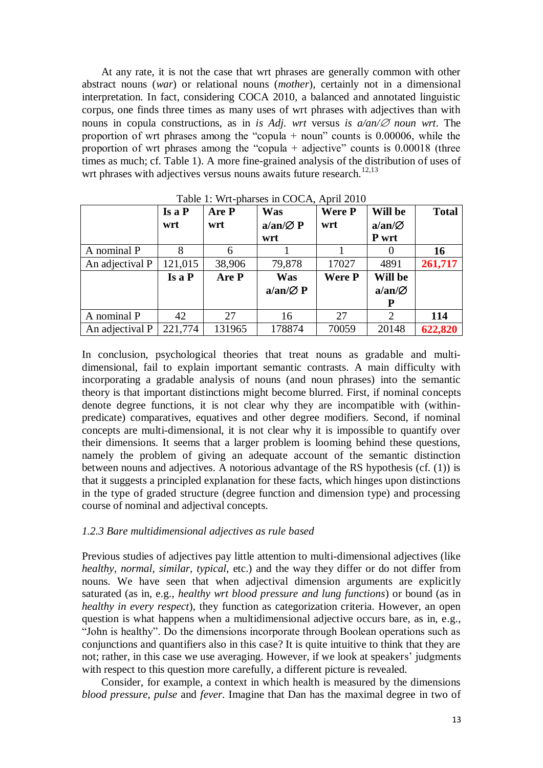At any rate, it is not the case that wrt phrases are generally common with other abstract nouns (*war*) or relational nouns (*mother*), certainly not in a dimensional interpretation. In fact, considering COCA 2010, a balanced and annotated linguistic corpus, one finds three times as many uses of wrt phrases with adjectives than with nouns in copula constructions, as in *is Adj. wrt versus is*  $a/an/\mathcal{Q}$  *noun wrt*. The proportion of wrt phrases among the "copula + noun" counts is  $0.00006$ , while the proportion of wrt phrases among the "copula + adjective" counts is  $0.00018$  (three times as much; cf. Table 1). A more fine-grained analysis of the distribution of uses of wrt phrases with adjectives versus nouns awaits future research.<sup>12,13</sup>

|                 | Is a P<br>wrt | Are P<br>wrt | Was<br>$a/an/\varnothing P$ | Were P<br>wrt | Will be<br>$a/\text{an}/\varnothing$ | <b>Total</b> |
|-----------------|---------------|--------------|-----------------------------|---------------|--------------------------------------|--------------|
|                 |               |              | wrt                         |               | P wrt                                |              |
| A nominal P     | 8             | 6            |                             |               |                                      | <b>16</b>    |
| An adjectival P | 121,015       | 38,906       | 79,878                      | 17027         | 4891                                 | 261,717      |
|                 | Isa P         | Are P        | Was                         | <b>Were P</b> | Will be                              |              |
|                 |               |              | $a/an/\varnothing P$        |               | $a/\text{an}/\varnothing$            |              |
|                 |               |              |                             |               | P                                    |              |
| A nominal P     | 42            | 27           | 16                          | 27            | 2                                    | 114          |
| An adjectival P | 221,774       | 131965       | 178874                      | 70059         | 20148                                | 622,820      |

Table 1: Wrt-pharses in COCA, April 2010

In conclusion, psychological theories that treat nouns as gradable and multidimensional, fail to explain important semantic contrasts. A main difficulty with incorporating a gradable analysis of nouns (and noun phrases) into the semantic theory is that important distinctions might become blurred. First, if nominal concepts denote degree functions, it is not clear why they are incompatible with (withinpredicate) comparatives, equatives and other degree modifiers. Second, if nominal concepts are multi-dimensional, it is not clear why it is impossible to quantify over their dimensions. It seems that a larger problem is looming behind these questions, namely the problem of giving an adequate account of the semantic distinction between nouns and adjectives. A notorious advantage of the RS hypothesis (cf. (1)) is that it suggests a principled explanation for these facts, which hinges upon distinctions in the type of graded structure (degree function and dimension type) and processing course of nominal and adjectival concepts.

#### *1.2.3 Bare multidimensional adjectives as rule based*

Previous studies of adjectives pay little attention to multi-dimensional adjectives (like *healthy, normal, similar, typical*, etc.) and the way they differ or do not differ from nouns. We have seen that when adjectival dimension arguments are explicitly saturated (as in, e.g., *healthy wrt blood pressure and lung functions*) or bound (as in *healthy in every respect*), they function as categorization criteria. However, an open question is what happens when a multidimensional adjective occurs bare, as in, e.g., "John is healthy". Do the dimensions incorporate through Boolean operations such as conjunctions and quantifiers also in this case? It is quite intuitive to think that they are not; rather, in this case we use averaging. However, if we look at speakers' judgments with respect to this question more carefully, a different picture is revealed.

Consider, for example, a context in which health is measured by the dimensions *blood pressure, pulse* and *fever*. Imagine that Dan has the maximal degree in two of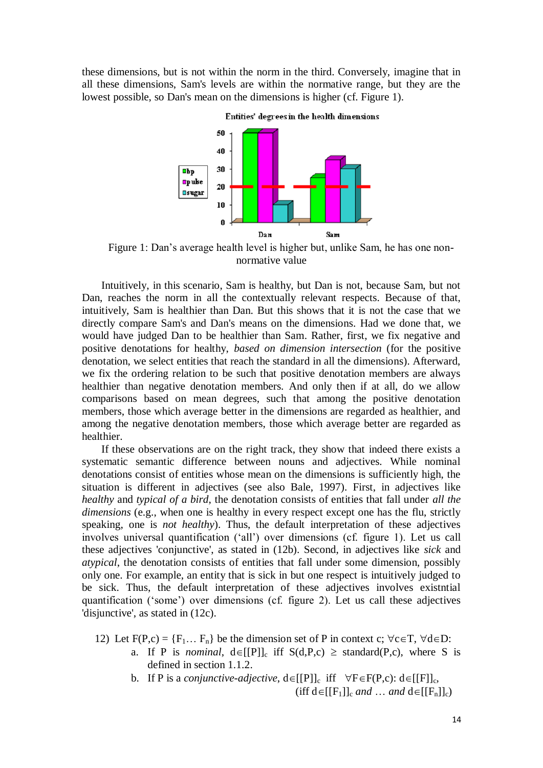these dimensions, but is not within the norm in the third. Conversely, imagine that in all these dimensions, Sam's levels are within the normative range, but they are the lowest possible, so Dan's mean on the dimensions is higher (cf. Figure 1).



Entities' degrees in the health dimensions

Figure 1: Dan's average health level is higher but, unlike Sam, he has one nonnormative value

Intuitively, in this scenario, Sam is healthy, but Dan is not, because Sam, but not Dan, reaches the norm in all the contextually relevant respects. Because of that, intuitively, Sam is healthier than Dan. But this shows that it is not the case that we directly compare Sam's and Dan's means on the dimensions. Had we done that, we would have judged Dan to be healthier than Sam. Rather, first, we fix negative and positive denotations for healthy, *based on dimension intersection* (for the positive denotation, we select entities that reach the standard in all the dimensions). Afterward, we fix the ordering relation to be such that positive denotation members are always healthier than negative denotation members. And only then if at all, do we allow comparisons based on mean degrees, such that among the positive denotation members, those which average better in the dimensions are regarded as healthier, and among the negative denotation members, those which average better are regarded as healthier.

If these observations are on the right track, they show that indeed there exists a systematic semantic difference between nouns and adjectives. While nominal denotations consist of entities whose mean on the dimensions is sufficiently high, the situation is different in adjectives (see also Bale, 1997). First, in adjectives like *healthy* and *typical of a bird*, the denotation consists of entities that fall under *all the dimensions* (e.g., when one is healthy in every respect except one has the flu, strictly speaking, one is *not healthy*). Thus, the default interpretation of these adjectives involves universal quantification ('all') over dimensions (cf. figure 1). Let us call these adjectives 'conjunctive', as stated in (12b). Second, in adjectives like *sick* and *atypical*, the denotation consists of entities that fall under some dimension, possibly only one. For example, an entity that is sick in but one respect is intuitively judged to be sick. Thus, the default interpretation of these adjectives involves existntial quantification (‗some') over dimensions (cf. figure 2). Let us call these adjectives 'disjunctive', as stated in (12c).

- 12) Let  $F(P,c) = \{F_1... F_n\}$  be the dimension set of P in context c;  $\forall c \in T$ ,  $\forall d \in D$ :
	- a. If P is *nominal*,  $d \in [[P]]_c$  iff  $S(d,P,c) \geq$  standard(P,c), where S is defined in section 1.1.2.
	- b. If P is a *conjunctive-adjective*,  $d \in [[P]]_c$  iff  $\forall F \in F(P,c)$ :  $d \in [[F]]_c$ ,

(iff  $d \in [[F_1]]_c$  *and* … *and*  $d \in [[F_n]]_c$ )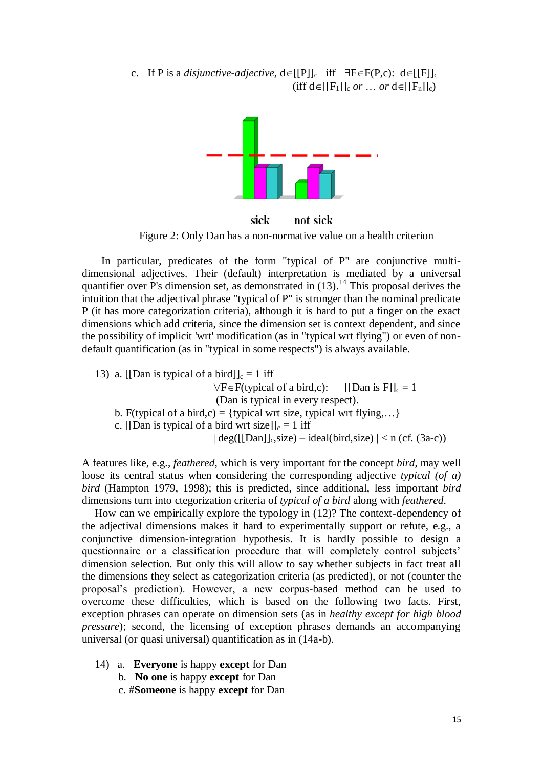c. If P is a *disjunctive-adjective*,  $d \in [[P]]_c$  iff  $\exists F \in F(P,c)$ :  $d \in [[F]]_c$ (iff  $d \in [[F_1]]_c$  *or*  $\ldots$  *or*  $d \in [[F_n]]_c$ )



sick not sick

Figure 2: Only Dan has a non-normative value on a health criterion

In particular, predicates of the form "typical of P" are conjunctive multidimensional adjectives. Their (default) interpretation is mediated by a universal quantifier over P's dimension set, as demonstrated in  $(13)$ .<sup>14</sup> This proposal derives the intuition that the adjectival phrase "typical of P" is stronger than the nominal predicate P (it has more categorization criteria), although it is hard to put a finger on the exact dimensions which add criteria, since the dimension set is context dependent, and since the possibility of implicit 'wrt' modification (as in "typical wrt flying") or even of nondefault quantification (as in "typical in some respects") is always available.

13) a. [[Dan is typical of a bird]]<sub>c</sub> = 1 iff  $\forall F \in F$ (typical of a bird,c): [[Dan is F]]<sub>c</sub> = 1 (Dan is typical in every respect). b. F(typical of a bird,c) = {typical wrt size, typical wrt flying,...} c. [[Dan is typical of a bird wrt size]]<sub>c</sub> = 1 iff  $\vert \text{deg}([[\text{Dan}]]_c$ , size) – ideal(bird, size)  $\vert <$ n (cf. (3a-c))

A features like, e.g., *feathered*, which is very important for the concept *bird*, may well loose its central status when considering the corresponding adjective *typical (of a) bird* (Hampton 1979, 1998); this is predicted, since additional, less important *bird* dimensions turn into ctegorization criteria of *typical of a bird* along with *feathered*.

How can we empirically explore the typology in (12)? The context-dependency of the adjectival dimensions makes it hard to experimentally support or refute, e.g., a conjunctive dimension-integration hypothesis. It is hardly possible to design a questionnaire or a classification procedure that will completely control subjects' dimension selection. But only this will allow to say whether subjects in fact treat all the dimensions they select as categorization criteria (as predicted), or not (counter the proposal's prediction). However, a new corpus-based method can be used to overcome these difficulties, which is based on the following two facts. First, exception phrases can operate on dimension sets (as in *healthy except for high blood pressure*); second, the licensing of exception phrases demands an accompanying universal (or quasi universal) quantification as in (14a-b).

- 14) a. **Everyone** is happy **except** for Dan
	- b. **No one** is happy **except** for Dan
	- c. #**Someone** is happy **except** for Dan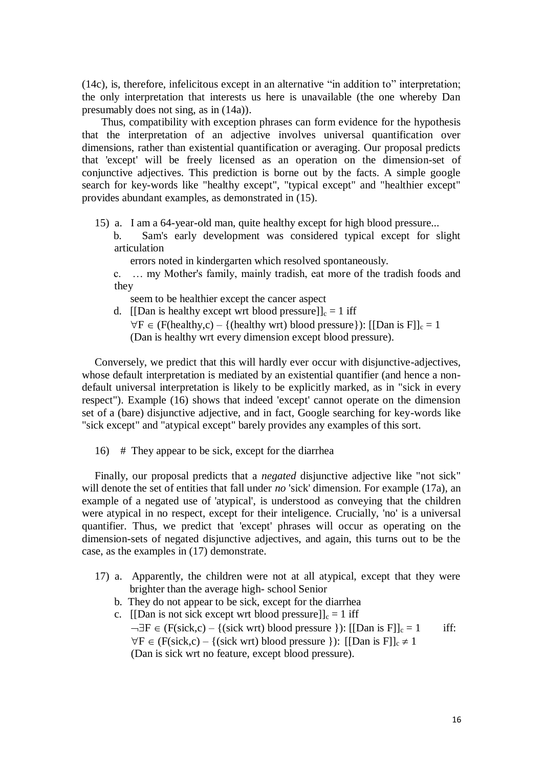$(14c)$ , is, therefore, infelicitous except in an alternative "in addition to" interpretation; the only interpretation that interests us here is unavailable (the one whereby Dan presumably does not sing, as in (14a)).

Thus, compatibility with exception phrases can form evidence for the hypothesis that the interpretation of an adjective involves universal quantification over dimensions, rather than existential quantification or averaging. Our proposal predicts that 'except' will be freely licensed as an operation on the dimension-set of conjunctive adjectives. This prediction is borne out by the facts. A simple google search for key-words like "healthy except", "typical except" and "healthier except" provides abundant examples, as demonstrated in (15).

- 15) a. I am a 64-year-old man, quite healthy except for high blood pressure...
	- b. Sam's early development was considered typical except for slight articulation

errors noted in kindergarten which resolved spontaneously.

c. … my Mother's family, mainly tradish, eat more of the tradish foods and they

seem to be healthier except the cancer aspect

d. [[Dan is healthy except wrt blood pressure]]<sub>c</sub> = 1 iff  $\forall F \in (F(headthy,c) - \{(healthy wrt) blood pressure\})$ : [[Dan is F]]<sub>c</sub> = 1 (Dan is healthy wrt every dimension except blood pressure).

Conversely, we predict that this will hardly ever occur with disjunctive-adjectives, whose default interpretation is mediated by an existential quantifier (and hence a nondefault universal interpretation is likely to be explicitly marked, as in "sick in every respect"). Example (16) shows that indeed 'except' cannot operate on the dimension set of a (bare) disjunctive adjective, and in fact, Google searching for key-words like "sick except" and "atypical except" barely provides any examples of this sort.

16) # They appear to be sick, except for the diarrhea

Finally, our proposal predicts that a *negated* disjunctive adjective like "not sick" will denote the set of entities that fall under *no* 'sick' dimension. For example (17a), an example of a negated use of 'atypical', is understood as conveying that the children were atypical in no respect, except for their inteligence. Crucially, 'no' is a universal quantifier. Thus, we predict that 'except' phrases will occur as operating on the dimension-sets of negated disjunctive adjectives, and again, this turns out to be the case, as the examples in (17) demonstrate.

- 17) a. Apparently, the children were not at all atypical, except that they were brighter than the average high- school Senior
	- b. They do not appear to be sick, except for the diarrhea
	- c. [[Dan is not sick except wrt blood pressure]]<sub>c</sub> = 1 iff  $\neg \exists F \in (F(\text{sick}, c) - \{(\text{sick wrt}) \text{ blood pressure }\}) : [[Dan is F]]_c = 1$  iff:  $\forall F \in (F(\text{sick}, c) - \{(\text{sick wrt}) \text{ blood pressure }\})$ : [[Dan is F]]<sub>c</sub>  $\neq$  1 (Dan is sick wrt no feature, except blood pressure).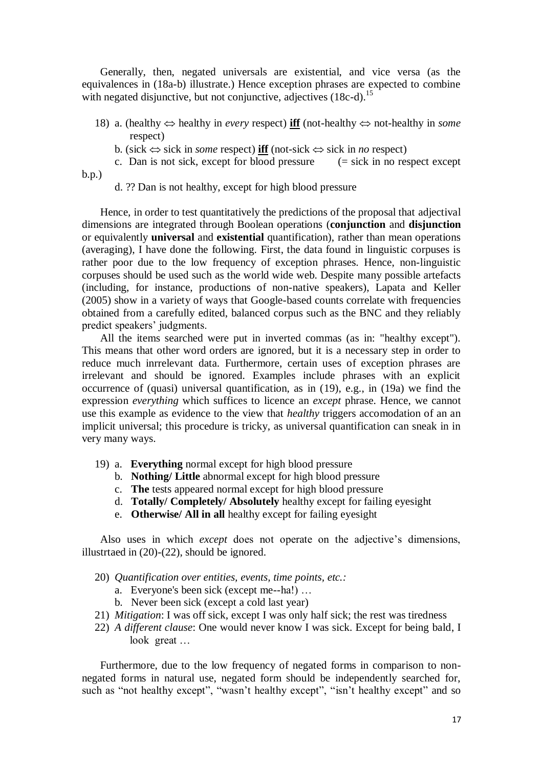Generally, then, negated universals are existential, and vice versa (as the equivalences in (18a-b) illustrate.) Hence exception phrases are expected to combine with negated disjunctive, but not conjunctive, adjectives  $(18c-d)$ .<sup>15</sup>

- 18) a. (healthy  $\Leftrightarrow$  healthy in *every* respect) **iff** (not-healthy  $\Leftrightarrow$  not-healthy in *some* respect)
	- b. (sick  $\Leftrightarrow$  sick in *some* respect) **iff** (not-sick  $\Leftrightarrow$  sick in *no* respect)
- c. Dan is not sick, except for blood pressure  $(=$  sick in no respect except b.p.)
	- d. ?? Dan is not healthy, except for high blood pressure

Hence, in order to test quantitatively the predictions of the proposal that adjectival dimensions are integrated through Boolean operations (**conjunction** and **disjunction** or equivalently **universal** and **existential** quantification), rather than mean operations (averaging), I have done the following. First, the data found in linguistic corpuses is rather poor due to the low frequency of exception phrases. Hence, non-linguistic corpuses should be used such as the world wide web. Despite many possible artefacts (including, for instance, productions of non-native speakers), Lapata and Keller (2005) show in a variety of ways that Google-based counts correlate with frequencies obtained from a carefully edited, balanced corpus such as the BNC and they reliably predict speakers' judgments.

All the items searched were put in inverted commas (as in: "healthy except"). This means that other word orders are ignored, but it is a necessary step in order to reduce much inrrelevant data. Furthermore, certain uses of exception phrases are irrelevant and should be ignored. Examples include phrases with an explicit occurrence of (quasi) universal quantification, as in (19), e.g., in (19a) we find the expression *everything* which suffices to licence an *except* phrase. Hence, we cannot use this example as evidence to the view that *healthy* triggers accomodation of an an implicit universal; this procedure is tricky, as universal quantification can sneak in in very many ways.

- 19) a. **Everything** normal except for high blood pressure
	- b. **Nothing/ Little** abnormal except for high blood pressure
	- c. **The** tests appeared normal except for high blood pressure
	- d. **Totally/ Completely/ Absolutely** healthy except for failing eyesight
	- e. **Otherwise/ All in all** healthy except for failing eyesight

Also uses in which *except* does not operate on the adjective's dimensions, illustrtaed in (20)-(22), should be ignored.

- 20) *Quantification over entities, events, time points, etc.:* 
	- a. Everyone's been sick (except me--ha!) …
	- b. Never been sick (except a cold last year)
- 21) *Mitigation*: I was off sick, except I was only half sick; the rest was tiredness
- 22) *A different clause*: One would never know I was sick. Except for being bald, I look great …

Furthermore, due to the low frequency of negated forms in comparison to nonnegated forms in natural use, negated form should be independently searched for, such as "not healthy except", "wasn't healthy except", "isn't healthy except" and so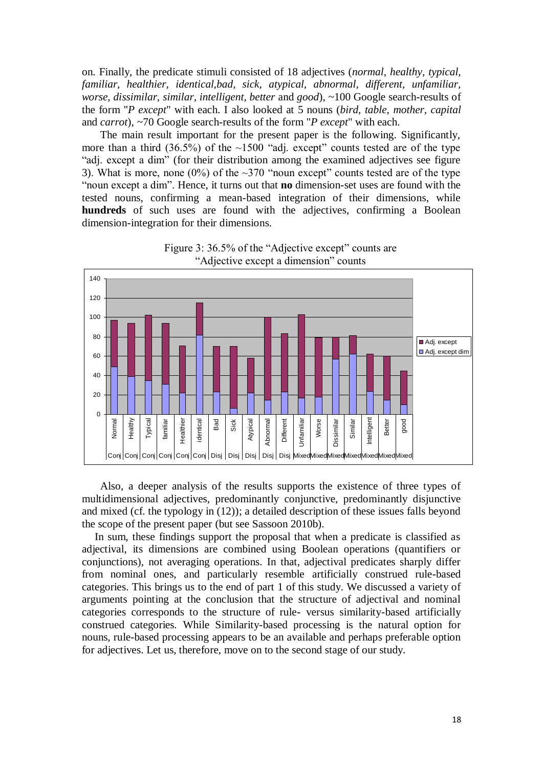on. Finally, the predicate stimuli consisted of 18 adjectives (*normal, healthy, typical, familiar, healthier, identical,bad, sick, atypical, abnormal, different, unfamiliar, worse, dissimilar, similar, intelligent, better* and *good*), ~100 Google search-results of the form "*P except*" with each. I also looked at 5 nouns (*bird, table, mother, capital*  and *carrot*), ~70 Google search-results of the form "*P except*" with each.

The main result important for the present paper is the following. Significantly, more than a third  $(36.5\%)$  of the  $\sim$ 1500 "adj. except" counts tested are of the type "adj. except a dim" (for their distribution among the examined adjectives see figure 3). What is more, none (0%) of the  $\sim$ 370 "noun except" counts tested are of the type ―noun except a dim‖. Hence, it turns out that **no** dimension-set uses are found with the tested nouns, confirming a mean-based integration of their dimensions, while **hundreds** of such uses are found with the adjectives, confirming a Boolean dimension-integration for their dimensions.





Also, a deeper analysis of the results supports the existence of three types of multidimensional adjectives, predominantly conjunctive, predominantly disjunctive and mixed (cf. the typology in (12)); a detailed description of these issues falls beyond the scope of the present paper (but see Sassoon 2010b).

In sum, these findings support the proposal that when a predicate is classified as adjectival, its dimensions are combined using Boolean operations (quantifiers or conjunctions), not averaging operations. In that, adjectival predicates sharply differ from nominal ones, and particularly resemble artificially construed rule-based categories. This brings us to the end of part 1 of this study. We discussed a variety of arguments pointing at the conclusion that the structure of adjectival and nominal categories corresponds to the structure of rule- versus similarity-based artificially construed categories. While Similarity-based processing is the natural option for nouns, rule-based processing appears to be an available and perhaps preferable option for adjectives. Let us, therefore, move on to the second stage of our study.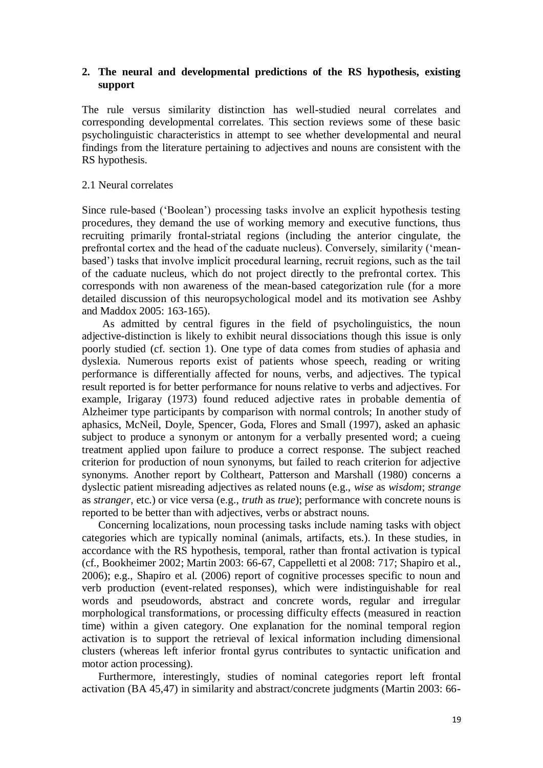# **2. The neural and developmental predictions of the RS hypothesis, existing support**

The rule versus similarity distinction has well-studied neural correlates and corresponding developmental correlates. This section reviews some of these basic psycholinguistic characteristics in attempt to see whether developmental and neural findings from the literature pertaining to adjectives and nouns are consistent with the RS hypothesis.

## 2.1 Neural correlates

Since rule-based (‗Boolean') processing tasks involve an explicit hypothesis testing procedures, they demand the use of working memory and executive functions, thus recruiting primarily frontal-striatal regions (including the anterior cingulate, the prefrontal cortex and the head of the caduate nucleus). Conversely, similarity ('meanbased') tasks that involve implicit procedural learning, recruit regions, such as the tail of the caduate nucleus, which do not project directly to the prefrontal cortex. This corresponds with non awareness of the mean-based categorization rule (for a more detailed discussion of this neuropsychological model and its motivation see Ashby and Maddox 2005: 163-165).

As admitted by central figures in the field of psycholinguistics, the noun adjective-distinction is likely to exhibit neural dissociations though this issue is only poorly studied (cf. section 1). One type of data comes from studies of aphasia and dyslexia. Numerous reports exist of patients whose speech, reading or writing performance is differentially affected for nouns, verbs, and adjectives. The typical result reported is for better performance for nouns relative to verbs and adjectives. For example, Irigaray (1973) found reduced adjective rates in probable dementia of Alzheimer type participants by comparison with normal controls; In another study of aphasics, McNeil, Doyle, Spencer, Goda, Flores and Small (1997), asked an aphasic subject to produce a synonym or antonym for a verbally presented word; a cueing treatment applied upon failure to produce a correct response. The subject reached criterion for production of noun synonyms, but failed to reach criterion for adjective synonyms. Another report by Coltheart, Patterson and Marshall (1980) concerns a dyslectic patient misreading adjectives as related nouns (e.g., *wise* as *wisdom*; *strange* as *stranger*, etc.) or vice versa (e.g., *truth* as *true*); performance with concrete nouns is reported to be better than with adjectives, verbs or abstract nouns.

Concerning localizations, noun processing tasks include naming tasks with object categories which are typically nominal (animals, artifacts, ets.). In these studies, in accordance with the RS hypothesis, temporal, rather than frontal activation is typical (cf., Bookheimer 2002; Martin 2003: 66-67, Cappelletti et al 2008: 717; Shapiro et al., 2006); e.g., Shapiro et al. (2006) report of cognitive processes specific to noun and verb production (event-related responses), which were indistinguishable for real words and pseudowords, abstract and concrete words, regular and irregular morphological transformations, or processing difficulty effects (measured in reaction time) within a given category. One explanation for the nominal temporal region activation is to support the retrieval of lexical information including dimensional clusters (whereas left inferior frontal gyrus contributes to syntactic unification and motor action processing).

Furthermore, interestingly, studies of nominal categories report left frontal activation (BA 45,47) in similarity and abstract/concrete judgments (Martin 2003: 66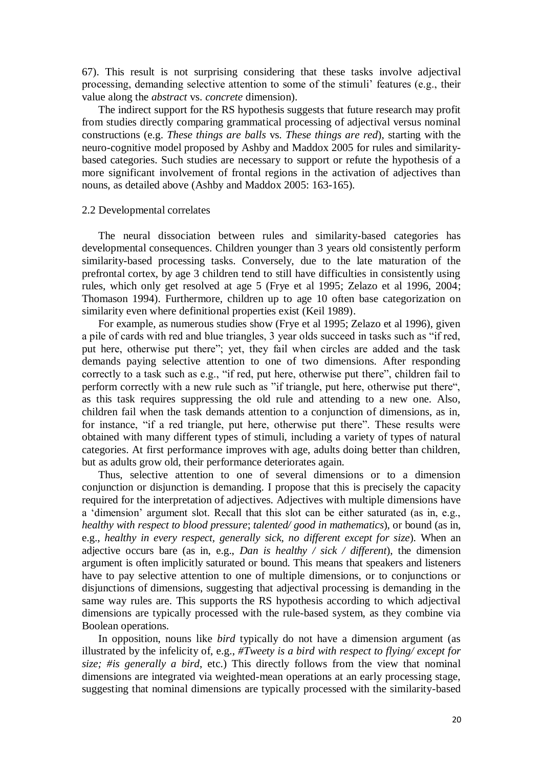67). This result is not surprising considering that these tasks involve adjectival processing, demanding selective attention to some of the stimuli' features (e.g., their value along the *abstract* vs. *concrete* dimension).

The indirect support for the RS hypothesis suggests that future research may profit from studies directly comparing grammatical processing of adjectival versus nominal constructions (e.g. *These things are balls* vs. *These things are red*), starting with the neuro-cognitive model proposed by Ashby and Maddox 2005 for rules and similaritybased categories. Such studies are necessary to support or refute the hypothesis of a more significant involvement of frontal regions in the activation of adjectives than nouns, as detailed above (Ashby and Maddox 2005: 163-165).

#### 2.2 Developmental correlates

The neural dissociation between rules and similarity-based categories has developmental consequences. Children younger than 3 years old consistently perform similarity-based processing tasks. Conversely, due to the late maturation of the prefrontal cortex, by age 3 children tend to still have difficulties in consistently using rules, which only get resolved at age 5 (Frye et al 1995; Zelazo et al 1996, 2004; Thomason 1994). Furthermore, children up to age 10 often base categorization on similarity even where definitional properties exist (Keil 1989).

For example, as numerous studies show (Frye et al 1995; Zelazo et al 1996), given a pile of cards with red and blue triangles, 3 year olds succeed in tasks such as "if red, put here, otherwise put there"; yet, they fail when circles are added and the task demands paying selective attention to one of two dimensions. After responding correctly to a task such as e.g., "if red, put here, otherwise put there", children fail to perform correctly with a new rule such as "if triangle, put here, otherwise put there", as this task requires suppressing the old rule and attending to a new one. Also, children fail when the task demands attention to a conjunction of dimensions, as in, for instance, "if a red triangle, put here, otherwise put there". These results were obtained with many different types of stimuli, including a variety of types of natural categories. At first performance improves with age, adults doing better than children, but as adults grow old, their performance deteriorates again.

Thus, selective attention to one of several dimensions or to a dimension conjunction or disjunction is demanding. I propose that this is precisely the capacity required for the interpretation of adjectives. Adjectives with multiple dimensions have a 'dimension' argument slot. Recall that this slot can be either saturated (as in, e.g., *healthy with respect to blood pressure*; *talented/ good in mathematics*), or bound (as in, e.g., *healthy in every respect, generally sick, no different except for size*). When an adjective occurs bare (as in, e.g., *Dan is healthy / sick / different*), the dimension argument is often implicitly saturated or bound. This means that speakers and listeners have to pay selective attention to one of multiple dimensions, or to conjunctions or disjunctions of dimensions, suggesting that adjectival processing is demanding in the same way rules are. This supports the RS hypothesis according to which adjectival dimensions are typically processed with the rule-based system, as they combine via Boolean operations.

In opposition, nouns like *bird* typically do not have a dimension argument (as illustrated by the infelicity of, e.g., *#Tweety is a bird with respect to flying/ except for size; #is generally a bird*, etc.) This directly follows from the view that nominal dimensions are integrated via weighted-mean operations at an early processing stage, suggesting that nominal dimensions are typically processed with the similarity-based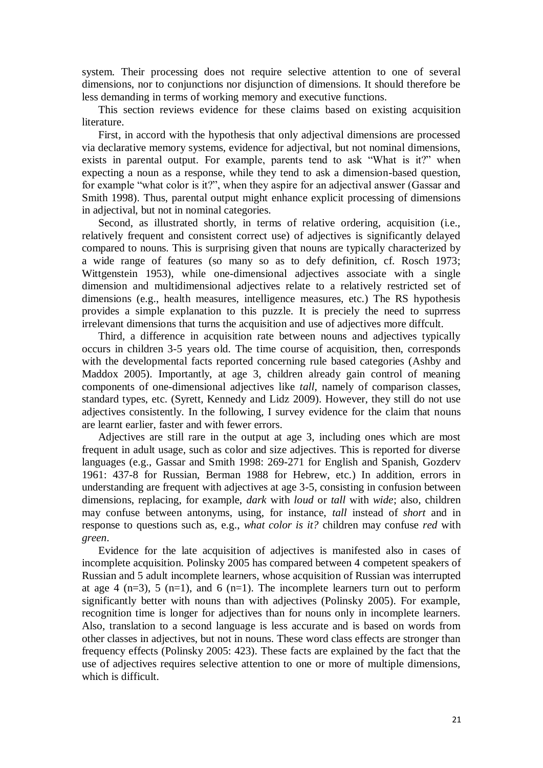system. Their processing does not require selective attention to one of several dimensions, nor to conjunctions nor disjunction of dimensions. It should therefore be less demanding in terms of working memory and executive functions.

This section reviews evidence for these claims based on existing acquisition literature.

First, in accord with the hypothesis that only adjectival dimensions are processed via declarative memory systems, evidence for adjectival, but not nominal dimensions, exists in parental output. For example, parents tend to ask "What is it?" when expecting a noun as a response, while they tend to ask a dimension-based question, for example "what color is it?", when they aspire for an adjectival answer (Gassar and Smith 1998). Thus, parental output might enhance explicit processing of dimensions in adjectival, but not in nominal categories.

Second, as illustrated shortly, in terms of relative ordering, acquisition (i.e., relatively frequent and consistent correct use) of adjectives is significantly delayed compared to nouns. This is surprising given that nouns are typically characterized by a wide range of features (so many so as to defy definition, cf. Rosch 1973; Wittgenstein 1953), while one-dimensional adjectives associate with a single dimension and multidimensional adjectives relate to a relatively restricted set of dimensions (e.g., health measures, intelligence measures, etc.) The RS hypothesis provides a simple explanation to this puzzle. It is preciely the need to suprress irrelevant dimensions that turns the acquisition and use of adjectives more diffcult.

Third, a difference in acquisition rate between nouns and adjectives typically occurs in children 3-5 years old. The time course of acquisition, then, corresponds with the developmental facts reported concerning rule based categories (Ashby and Maddox 2005). Importantly, at age 3, children already gain control of meaning components of one-dimensional adjectives like *tall*, namely of comparison classes, standard types, etc. (Syrett, Kennedy and Lidz 2009). However, they still do not use adjectives consistently. In the following, I survey evidence for the claim that nouns are learnt earlier, faster and with fewer errors.

Adjectives are still rare in the output at age 3, including ones which are most frequent in adult usage, such as color and size adjectives. This is reported for diverse languages (e.g., Gassar and Smith 1998: 269-271 for English and Spanish, Gozderv 1961: 437-8 for Russian, Berman 1988 for Hebrew, etc.) In addition, errors in understanding are frequent with adjectives at age 3-5, consisting in confusion between dimensions, replacing, for example, *dark* with *loud* or *tall* with *wide*; also, children may confuse between antonyms, using, for instance, *tall* instead of *short* and in response to questions such as, e.g., *what color is it?* children may confuse *red* with *green*.

Evidence for the late acquisition of adjectives is manifested also in cases of incomplete acquisition. Polinsky 2005 has compared between 4 competent speakers of Russian and 5 adult incomplete learners, whose acquisition of Russian was interrupted at age 4 (n=3), 5 (n=1), and 6 (n=1). The incomplete learners turn out to perform significantly better with nouns than with adjectives (Polinsky 2005). For example, recognition time is longer for adjectives than for nouns only in incomplete learners. Also, translation to a second language is less accurate and is based on words from other classes in adjectives, but not in nouns. These word class effects are stronger than frequency effects (Polinsky 2005: 423). These facts are explained by the fact that the use of adjectives requires selective attention to one or more of multiple dimensions, which is difficult.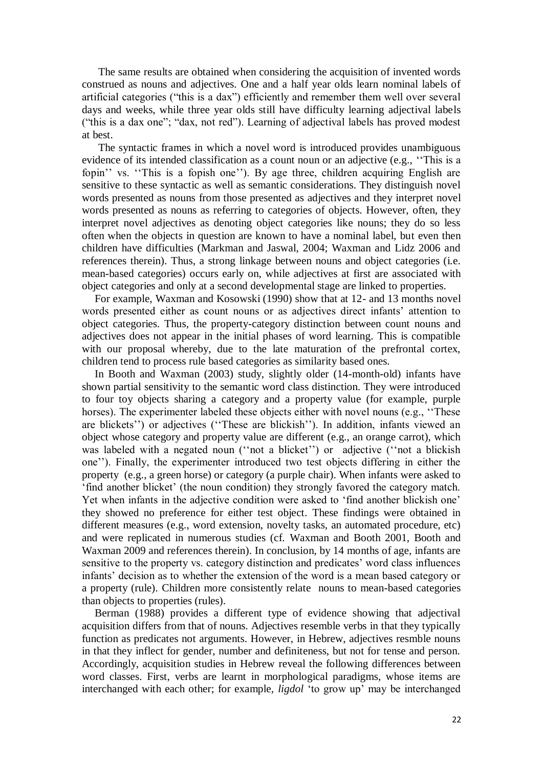The same results are obtained when considering the acquisition of invented words construed as nouns and adjectives. One and a half year olds learn nominal labels of artificial categories ("this is a dax") efficiently and remember them well over several days and weeks, while three year olds still have difficulty learning adjectival labels ("this is a dax one"; "dax, not red"). Learning of adjectival labels has proved modest at best.

The syntactic frames in which a novel word is introduced provides unambiguous evidence of its intended classification as a count noun or an adjective (e.g., "This is a fopin'' vs. "This is a fopish one"). By age three, children acquiring English are sensitive to these syntactic as well as semantic considerations. They distinguish novel words presented as nouns from those presented as adjectives and they interpret novel words presented as nouns as referring to categories of objects. However, often, they interpret novel adjectives as denoting object categories like nouns; they do so less often when the objects in question are known to have a nominal label, but even then children have difficulties (Markman and Jaswal, 2004; Waxman and Lidz 2006 and references therein). Thus, a strong linkage between nouns and object categories (i.e. mean-based categories) occurs early on, while adjectives at first are associated with object categories and only at a second developmental stage are linked to properties.

For example, Waxman and Kosowski (1990) show that at 12- and 13 months novel words presented either as count nouns or as adjectives direct infants' attention to object categories. Thus, the property-category distinction between count nouns and adjectives does not appear in the initial phases of word learning. This is compatible with our proposal whereby, due to the late maturation of the prefrontal cortex, children tend to process rule based categories as similarity based ones.

In Booth and Waxman (2003) study, slightly older (14-month-old) infants have shown partial sensitivity to the semantic word class distinction. They were introduced to four toy objects sharing a category and a property value (for example, purple horses). The experimenter labeled these objects either with novel nouns (e.g., "These are blickets'') or adjectives ("These are blickish"). In addition, infants viewed an object whose category and property value are different (e.g., an orange carrot), which was labeled with a negated noun ("not a blicket") or adjective ("not a blickish") one''). Finally, the experimenter introduced two test objects differing in either the property (e.g., a green horse) or category (a purple chair). When infants were asked to ‗find another blicket' (the noun condition) they strongly favored the category match. Yet when infants in the adjective condition were asked to 'find another blickish one' they showed no preference for either test object. These findings were obtained in different measures (e.g., word extension, novelty tasks, an automated procedure, etc) and were replicated in numerous studies (cf. Waxman and Booth 2001, Booth and Waxman 2009 and references therein). In conclusion, by 14 months of age, infants are sensitive to the property vs. category distinction and predicates' word class influences infants' decision as to whether the extension of the word is a mean based category or a property (rule). Children more consistently relate nouns to mean-based categories than objects to properties (rules).

Berman (1988) provides a different type of evidence showing that adjectival acquisition differs from that of nouns. Adjectives resemble verbs in that they typically function as predicates not arguments. However, in Hebrew, adjectives resmble nouns in that they inflect for gender, number and definiteness, but not for tense and person. Accordingly, acquisition studies in Hebrew reveal the following differences between word classes. First, verbs are learnt in morphological paradigms, whose items are interchanged with each other; for example, *ligdol* ‗to grow up' may be interchanged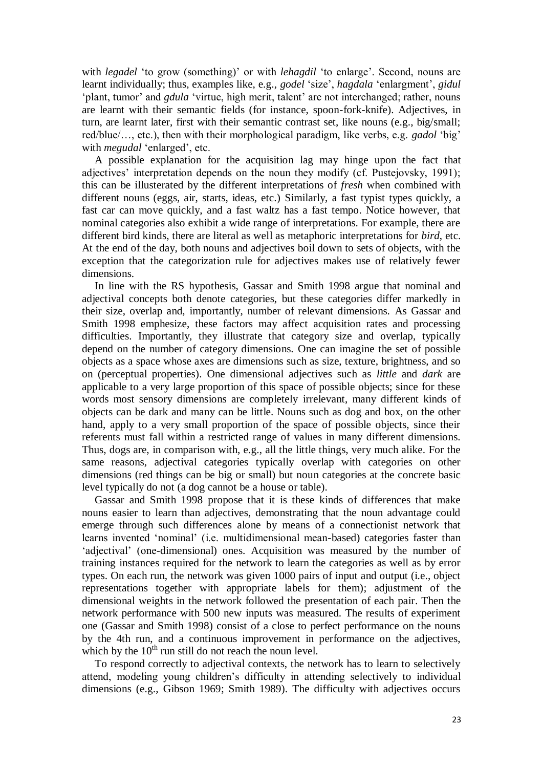with *legadel* 'to grow (something)' or with *lehagdil* 'to enlarge'. Second, nouns are learnt individually; thus, examples like, e.g., *godel* 'size', *hagdala* 'enlargment', *gidul* ‗plant, tumor' and *gdula* ‗virtue, high merit, talent' are not interchanged; rather, nouns are learnt with their semantic fields (for instance, spoon-fork-knife). Adjectives, in turn, are learnt later, first with their semantic contrast set, like nouns (e.g., big/small; red/blue/…, etc.), then with their morphological paradigm, like verbs, e.g. *gadol* ‗big' with *megudal* 'enlarged', etc.

A possible explanation for the acquisition lag may hinge upon the fact that adjectives' interpretation depends on the noun they modify (cf. Pustejovsky, 1991); this can be illusterated by the different interpretations of *fresh* when combined with different nouns (eggs, air, starts, ideas, etc.) Similarly, a fast typist types quickly, a fast car can move quickly, and a fast waltz has a fast tempo. Notice however, that nominal categories also exhibit a wide range of interpretations. For example, there are different bird kinds, there are literal as well as metaphoric interpretations for *bird*, etc. At the end of the day, both nouns and adjectives boil down to sets of objects, with the exception that the categorization rule for adjectives makes use of relatively fewer dimensions.

In line with the RS hypothesis, Gassar and Smith 1998 argue that nominal and adjectival concepts both denote categories, but these categories differ markedly in their size, overlap and, importantly, number of relevant dimensions. As Gassar and Smith 1998 emphesize, these factors may affect acquisition rates and processing difficulties. Importantly, they illustrate that category size and overlap, typically depend on the number of category dimensions. One can imagine the set of possible objects as a space whose axes are dimensions such as size, texture, brightness, and so on (perceptual properties). One dimensional adjectives such as *little* and *dark* are applicable to a very large proportion of this space of possible objects; since for these words most sensory dimensions are completely irrelevant, many different kinds of objects can be dark and many can be little. Nouns such as dog and box, on the other hand, apply to a very small proportion of the space of possible objects, since their referents must fall within a restricted range of values in many different dimensions. Thus, dogs are, in comparison with, e.g., all the little things, very much alike. For the same reasons, adjectival categories typically overlap with categories on other dimensions (red things can be big or small) but noun categories at the concrete basic level typically do not (a dog cannot be a house or table).

Gassar and Smith 1998 propose that it is these kinds of differences that make nouns easier to learn than adjectives, demonstrating that the noun advantage could emerge through such differences alone by means of a connectionist network that learns invented 'nominal' (i.e. multidimensional mean-based) categories faster than 'adjectival' (one-dimensional) ones. Acquisition was measured by the number of training instances required for the network to learn the categories as well as by error types. On each run, the network was given 1000 pairs of input and output (i.e., object representations together with appropriate labels for them); adjustment of the dimensional weights in the network followed the presentation of each pair. Then the network performance with 500 new inputs was measured. The results of experiment one (Gassar and Smith 1998) consist of a close to perfect performance on the nouns by the 4th run, and a continuous improvement in performance on the adjectives, which by the  $10<sup>th</sup>$  run still do not reach the noun level.

To respond correctly to adjectival contexts, the network has to learn to selectively attend, modeling young children's difficulty in attending selectively to individual dimensions (e.g., Gibson 1969; Smith 1989). The difficulty with adjectives occurs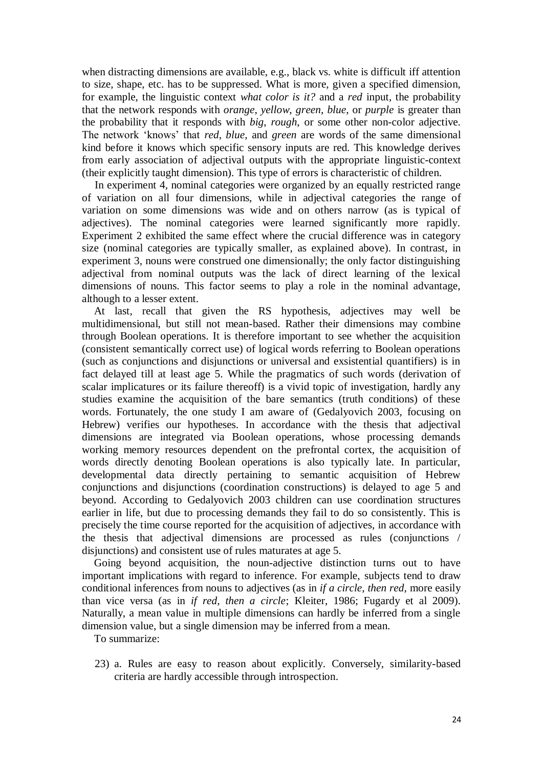when distracting dimensions are available, e.g., black vs. white is difficult iff attention to size, shape, etc. has to be suppressed. What is more, given a specified dimension, for example, the linguistic context *what color is it?* and a *red* input, the probability that the network responds with *orange*, *yellow*, *green*, *blue*, or *purple* is greater than the probability that it responds with *big*, *rough*, or some other non-color adjective. The network ‗knows' that *red*, *blue*, and *green* are words of the same dimensional kind before it knows which specific sensory inputs are red. This knowledge derives from early association of adjectival outputs with the appropriate linguistic-context (their explicitly taught dimension). This type of errors is characteristic of children.

In experiment 4, nominal categories were organized by an equally restricted range of variation on all four dimensions, while in adjectival categories the range of variation on some dimensions was wide and on others narrow (as is typical of adjectives). The nominal categories were learned significantly more rapidly. Experiment 2 exhibited the same effect where the crucial difference was in category size (nominal categories are typically smaller, as explained above). In contrast, in experiment 3, nouns were construed one dimensionally; the only factor distinguishing adjectival from nominal outputs was the lack of direct learning of the lexical dimensions of nouns. This factor seems to play a role in the nominal advantage, although to a lesser extent.

At last, recall that given the RS hypothesis, adjectives may well be multidimensional, but still not mean-based. Rather their dimensions may combine through Boolean operations. It is therefore important to see whether the acquisition (consistent semantically correct use) of logical words referring to Boolean operations (such as conjunctions and disjunctions or universal and exsistential quantifiers) is in fact delayed till at least age 5. While the pragmatics of such words (derivation of scalar implicatures or its failure thereoff) is a vivid topic of investigation, hardly any studies examine the acquisition of the bare semantics (truth conditions) of these words. Fortunately, the one study I am aware of (Gedalyovich 2003, focusing on Hebrew) verifies our hypotheses. In accordance with the thesis that adjectival dimensions are integrated via Boolean operations, whose processing demands working memory resources dependent on the prefrontal cortex, the acquisition of words directly denoting Boolean operations is also typically late. In particular, developmental data directly pertaining to semantic acquisition of Hebrew conjunctions and disjunctions (coordination constructions) is delayed to age 5 and beyond. According to Gedalyovich 2003 children can use coordination structures earlier in life, but due to processing demands they fail to do so consistently. This is precisely the time course reported for the acquisition of adjectives, in accordance with the thesis that adjectival dimensions are processed as rules (conjunctions / disjunctions) and consistent use of rules maturates at age 5.

Going beyond acquisition, the noun-adjective distinction turns out to have important implications with regard to inference. For example, subjects tend to draw conditional inferences from nouns to adjectives (as in *if a circle, then red*, more easily than vice versa (as in *if red, then a circle*; Kleiter, 1986; Fugardy et al 2009). Naturally, a mean value in multiple dimensions can hardly be inferred from a single dimension value, but a single dimension may be inferred from a mean.

To summarize:

23) a. Rules are easy to reason about explicitly. Conversely, similarity-based criteria are hardly accessible through introspection.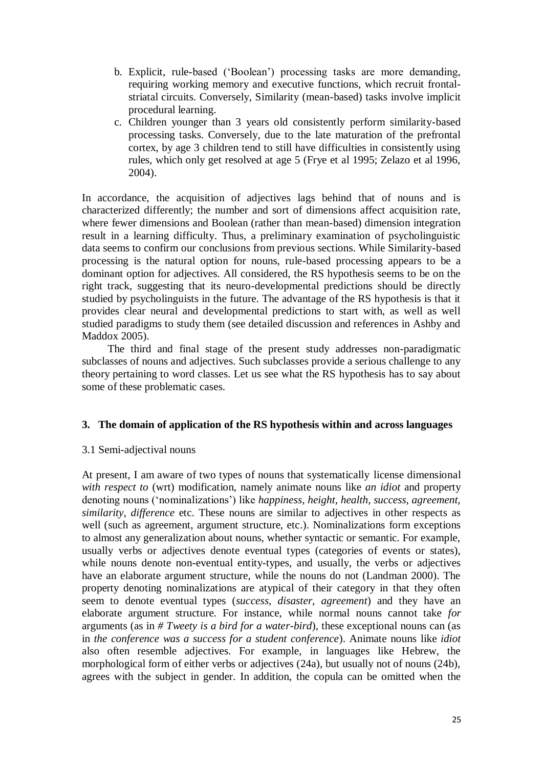- b. Explicit, rule-based (‗Boolean') processing tasks are more demanding, requiring working memory and executive functions, which recruit frontalstriatal circuits. Conversely, Similarity (mean-based) tasks involve implicit procedural learning.
- c. Children younger than 3 years old consistently perform similarity-based processing tasks. Conversely, due to the late maturation of the prefrontal cortex, by age 3 children tend to still have difficulties in consistently using rules, which only get resolved at age 5 (Frye et al 1995; Zelazo et al 1996, 2004).

In accordance, the acquisition of adjectives lags behind that of nouns and is characterized differently; the number and sort of dimensions affect acquisition rate, where fewer dimensions and Boolean (rather than mean-based) dimension integration result in a learning difficulty. Thus, a preliminary examination of psycholinguistic data seems to confirm our conclusions from previous sections. While Similarity-based processing is the natural option for nouns, rule-based processing appears to be a dominant option for adjectives. All considered, the RS hypothesis seems to be on the right track, suggesting that its neuro-developmental predictions should be directly studied by psycholinguists in the future. The advantage of the RS hypothesis is that it provides clear neural and developmental predictions to start with, as well as well studied paradigms to study them (see detailed discussion and references in Ashby and Maddox 2005).

The third and final stage of the present study addresses non-paradigmatic subclasses of nouns and adjectives. Such subclasses provide a serious challenge to any theory pertaining to word classes. Let us see what the RS hypothesis has to say about some of these problematic cases.

# **3. The domain of application of the RS hypothesis within and across languages**

# 3.1 Semi-adjectival nouns

At present, I am aware of two types of nouns that systematically license dimensional *with respect to* (wrt) modification, namely animate nouns like *an idiot* and property denoting nouns (‗nominalizations') like *happiness, height, health, success, agreement, similarity, difference* etc. These nouns are similar to adjectives in other respects as well (such as agreement, argument structure, etc.). Nominalizations form exceptions to almost any generalization about nouns, whether syntactic or semantic. For example, usually verbs or adjectives denote eventual types (categories of events or states), while nouns denote non-eventual entity-types, and usually, the verbs or adjectives have an elaborate argument structure, while the nouns do not (Landman 2000). The property denoting nominalizations are atypical of their category in that they often seem to denote eventual types (*success, disaster, agreement*) and they have an elaborate argument structure. For instance, while normal nouns cannot take *for*  arguments (as in *# Tweety is a bird for a water-bird*)*,* these exceptional nouns can (as in *the conference was a success for a student conference*). Animate nouns like *idiot*  also often resemble adjectives. For example, in languages like Hebrew, the morphological form of either verbs or adjectives (24a), but usually not of nouns (24b), agrees with the subject in gender. In addition, the copula can be omitted when the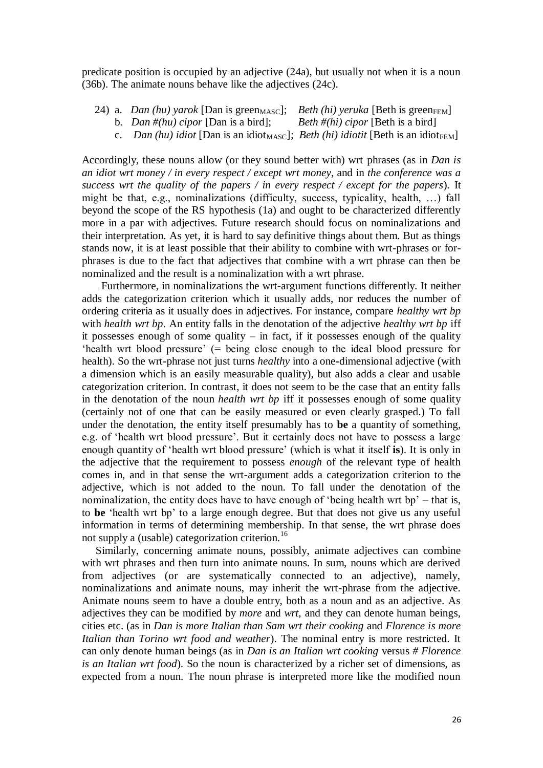predicate position is occupied by an adjective (24a), but usually not when it is a noun (36b). The animate nouns behave like the adjectives (24c).

- 24) a. *Dan (hu) yarok* [Dan is green<sub>MASC</sub>]; *Beth (hi) yeruka* [Beth is green<sub>FEM</sub>]
	- b. *Dan #(hu) cipor* [Dan is a bird]; *Beth #(hi) cipor* [Beth is a bird]
	- c. *Dan (hu) idiot* [Dan is an idiot<sub>MASC</sub>]; *Beth (hi) idiotit* [Beth is an idiot<sub>FEM</sub>]

Accordingly, these nouns allow (or they sound better with) wrt phrases (as in *Dan is an idiot wrt money / in every respect / except wrt money*, and in *the conference was a success wrt the quality of the papers / in every respect / except for the papers*)*.* It might be that, e.g., nominalizations (difficulty, success, typicality, health, …) fall beyond the scope of the RS hypothesis (1a) and ought to be characterized differently more in a par with adjectives. Future research should focus on nominalizations and their interpretation. As yet, it is hard to say definitive things about them. But as things stands now, it is at least possible that their ability to combine with wrt-phrases or forphrases is due to the fact that adjectives that combine with a wrt phrase can then be nominalized and the result is a nominalization with a wrt phrase.

Furthermore, in nominalizations the wrt-argument functions differently. It neither adds the categorization criterion which it usually adds, nor reduces the number of ordering criteria as it usually does in adjectives. For instance, compare *healthy wrt bp* with *health wrt bp*. An entity falls in the denotation of the adjective *healthy wrt bp* iff it possesses enough of some quality – in fact, if it possesses enough of the quality 'health wrt blood pressure' (= being close enough to the ideal blood pressure for health). So the wrt-phrase not just turns *healthy* into a one-dimensional adjective (with a dimension which is an easily measurable quality), but also adds a clear and usable categorization criterion. In contrast, it does not seem to be the case that an entity falls in the denotation of the noun *health wrt bp* iff it possesses enough of some quality (certainly not of one that can be easily measured or even clearly grasped.) To fall under the denotation, the entity itself presumably has to **be** a quantity of something, e.g. of ‗health wrt blood pressure'. But it certainly does not have to possess a large enough quantity of ‗health wrt blood pressure' (which is what it itself **is**). It is only in the adjective that the requirement to possess *enough* of the relevant type of health comes in, and in that sense the wrt-argument adds a categorization criterion to the adjective, which is not added to the noun. To fall under the denotation of the nominalization, the entity does have to have enough of 'being health wrt bp' – that is, to **be** ‗health wrt bp' to a large enough degree. But that does not give us any useful information in terms of determining membership. In that sense, the wrt phrase does not supply a (usable) categorization criterion.<sup>16</sup>

Similarly, concerning animate nouns, possibly, animate adjectives can combine with wrt phrases and then turn into animate nouns. In sum, nouns which are derived from adjectives (or are systematically connected to an adjective), namely, nominalizations and animate nouns, may inherit the wrt-phrase from the adjective. Animate nouns seem to have a double entry, both as a noun and as an adjective. As adjectives they can be modified by *more* and *wrt*, and they can denote human beings, cities etc. (as in *Dan is more Italian than Sam wrt their cooking* and *Florence is more Italian than Torino wrt food and weather*). The nominal entry is more restricted. It can only denote human beings (as in *Dan is an Italian wrt cooking* versus *# Florence is an Italian wrt food*)*.* So the noun is characterized by a richer set of dimensions, as expected from a noun. The noun phrase is interpreted more like the modified noun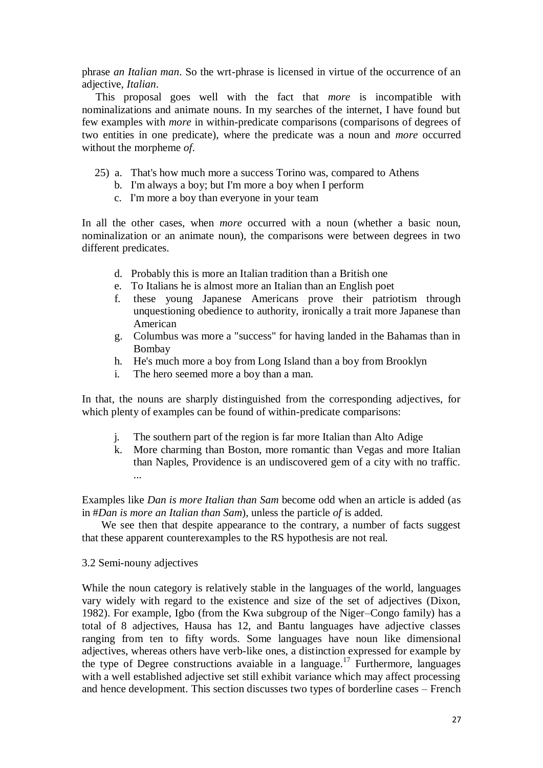phrase *an Italian man*. So the wrt-phrase is licensed in virtue of the occurrence of an adjective, *Italian*.

This proposal goes well with the fact that *more* is incompatible with nominalizations and animate nouns. In my searches of the internet, I have found but few examples with *more* in within-predicate comparisons (comparisons of degrees of two entities in one predicate), where the predicate was a noun and *more* occurred without the morpheme *of*.

- 25) a. That's how much more a success Torino was, compared to Athens
	- b. I'm always a boy; but I'm more a boy when I perform
	- c. I'm more a boy than everyone in your team

In all the other cases, when *more* occurred with a noun (whether a basic noun, nominalization or an animate noun), the comparisons were between degrees in two different predicates.

- d. Probably this is more an Italian tradition than a British one
- e. To Italians he is almost more an Italian than an English poet
- f. these young Japanese Americans prove their patriotism through unquestioning obedience to authority, ironically a trait more Japanese than American
- g. Columbus was more a "success" for having landed in the Bahamas than in Bombay
- h. He's much more a boy from Long Island than a boy from Brooklyn
- i. The hero seemed more a boy than a man.

In that, the nouns are sharply distinguished from the corresponding adjectives, for which plenty of examples can be found of within-predicate comparisons:

- j. The southern part of the region is far more Italian than Alto Adige
- k. More charming than Boston, more romantic than Vegas and more Italian than Naples, Providence is an undiscovered gem of a city with no traffic. ...

Examples like *Dan is more Italian than Sam* become odd when an article is added (as in #*Dan is more an Italian than Sam*), unless the particle *of* is added.

We see then that despite appearance to the contrary, a number of facts suggest that these apparent counterexamples to the RS hypothesis are not real.

#### 3.2 Semi-nouny adjectives

While the noun category is relatively stable in the languages of the world, languages vary widely with regard to the existence and size of the set of adjectives (Dixon, 1982). For example, Igbo (from the Kwa subgroup of the Niger–Congo family) has a total of 8 adjectives, Hausa has 12, and Bantu languages have adjective classes ranging from ten to fifty words. Some languages have noun like dimensional adjectives, whereas others have verb-like ones, a distinction expressed for example by the type of Degree constructions avaiable in a language.<sup>17</sup> Furthermore, languages with a well established adjective set still exhibit variance which may affect processing and hence development. This section discusses two types of borderline cases – French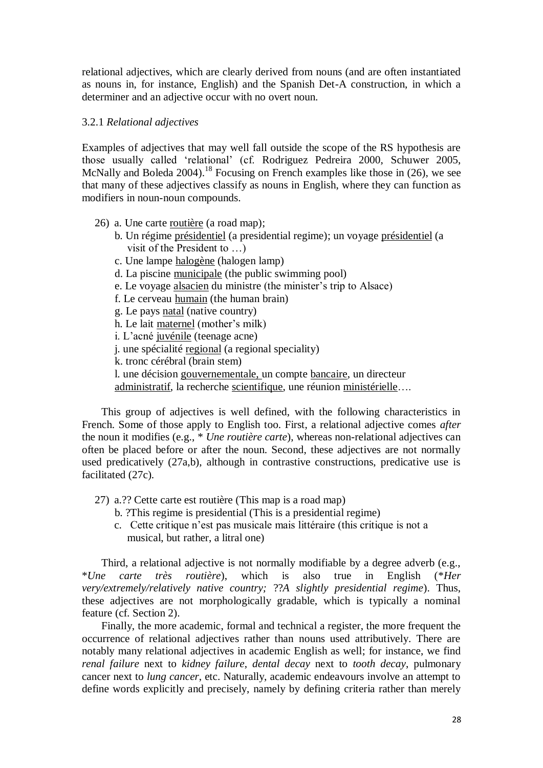relational adjectives, which are clearly derived from nouns (and are often instantiated as nouns in, for instance, English) and the Spanish Det-A construction, in which a determiner and an adjective occur with no overt noun.

## 3.2.1 *Relational adjectives*

Examples of adjectives that may well fall outside the scope of the RS hypothesis are those usually called ‗relational' (cf. Rodriguez Pedreira 2000, Schuwer 2005, McNally and Boleda 2004).<sup>18</sup> Focusing on French examples like those in (26), we see that many of these adjectives classify as nouns in English, where they can function as modifiers in noun-noun compounds.

- 26) a. Une carte routière (a road map);
	- b. Un régime présidentiel (a presidential regime); un voyage présidentiel (a visit of the President to …)
	- c. Une lampe halogène (halogen lamp)
	- d. La piscine municipale (the public swimming pool)
	- e. Le voyage alsacien du ministre (the minister's trip to Alsace)
	- f. Le cerveau humain (the human brain)
	- g. Le pays natal (native country)
	- h. Le lait maternel (mother's milk)
	- i. L'acné juvénile (teenage acne)
	- j. une spécialité regional (a regional speciality)
	- k. tronc cérébral (brain stem)
	- l. une décision gouvernementale, un compte bancaire, un directeur

administratif, la recherche scientifique, une réunion ministérielle….

This group of adjectives is well defined, with the following characteristics in French. Some of those apply to English too. First, a relational adjective comes *after* the noun it modifies (e.g., \* *Une routière carte*), whereas non-relational adjectives can often be placed before or after the noun. Second, these adjectives are not normally used predicatively (27a,b), although in contrastive constructions, predicative use is facilitated (27c).

- 27) a.?? Cette carte est routière (This map is a road map)
	- b. ?This regime is presidential (This is a presidential regime)
	- c. Cette critique n'est pas musicale mais littéraire (this critique is not a musical, but rather, a litral one)

Third, a relational adjective is not normally modifiable by a degree adverb (e.g., \**Une carte très routière*), which is also true in English (\**Her very/extremely/relatively native country;* ??*A slightly presidential regime*). Thus, these adjectives are not morphologically gradable, which is typically a nominal feature (cf. Section 2).

Finally, the more academic, formal and technical a register, the more frequent the occurrence of relational adjectives rather than nouns used attributively. There are notably many relational adjectives in academic English as well; for instance, we find *renal failure* next to *kidney failure*, *dental decay* next to *tooth decay*, pulmonary cancer next to *lung cancer*, etc. Naturally, academic endeavours involve an attempt to define words explicitly and precisely, namely by defining criteria rather than merely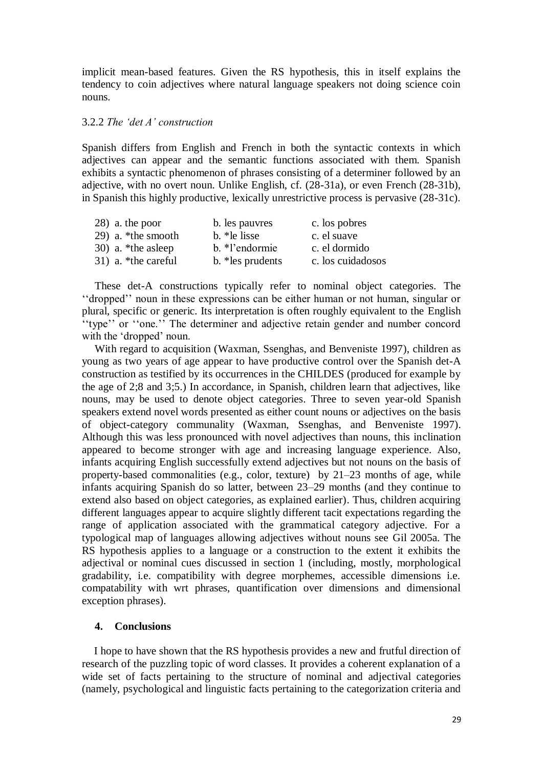implicit mean-based features. Given the RS hypothesis, this in itself explains the tendency to coin adjectives where natural language speakers not doing science coin nouns.

#### 3.2.2 *The "det A" construction*

Spanish differs from English and French in both the syntactic contexts in which adjectives can appear and the semantic functions associated with them. Spanish exhibits a syntactic phenomenon of phrases consisting of a determiner followed by an adjective, with no overt noun. Unlike English, cf. (28-31a), or even French (28-31b), in Spanish this highly productive, lexically unrestrictive process is pervasive (28-31c).

| 28) a. the poor     | b. les pauvres    | c. los pobres     |
|---------------------|-------------------|-------------------|
| 29) a. *the smooth  | b. *le lisse      | c. el suave       |
| 30) a. *the asleep  | b. *l'endormie    | c. el dormido     |
| 31) a. *the careful | b. * les prudents | c. los cuidadosos |

These det-A constructions typically refer to nominal object categories. The ‗‗dropped'' noun in these expressions can be either human or not human, singular or plural, specific or generic. Its interpretation is often roughly equivalent to the English "type" or "one." The determiner and adjective retain gender and number concord with the 'dropped' noun.

With regard to acquisition (Waxman, Ssenghas, and Benveniste 1997), children as young as two years of age appear to have productive control over the Spanish det-A construction as testified by its occurrences in the CHILDES (produced for example by the age of 2;8 and 3;5.) In accordance, in Spanish, children learn that adjectives, like nouns, may be used to denote object categories. Three to seven year-old Spanish speakers extend novel words presented as either count nouns or adjectives on the basis of object-category communality (Waxman, Ssenghas, and Benveniste 1997). Although this was less pronounced with novel adjectives than nouns, this inclination appeared to become stronger with age and increasing language experience. Also, infants acquiring English successfully extend adjectives but not nouns on the basis of property-based commonalities (e.g., color, texture) by 21–23 months of age, while infants acquiring Spanish do so latter, between 23–29 months (and they continue to extend also based on object categories, as explained earlier). Thus, children acquiring different languages appear to acquire slightly different tacit expectations regarding the range of application associated with the grammatical category adjective. For a typological map of languages allowing adjectives without nouns see Gil 2005a. The RS hypothesis applies to a language or a construction to the extent it exhibits the adjectival or nominal cues discussed in section 1 (including, mostly, morphological gradability, i.e. compatibility with degree morphemes, accessible dimensions i.e. compatability with wrt phrases, quantification over dimensions and dimensional exception phrases).

# **4. Conclusions**

I hope to have shown that the RS hypothesis provides a new and frutful direction of research of the puzzling topic of word classes. It provides a coherent explanation of a wide set of facts pertaining to the structure of nominal and adjectival categories (namely, psychological and linguistic facts pertaining to the categorization criteria and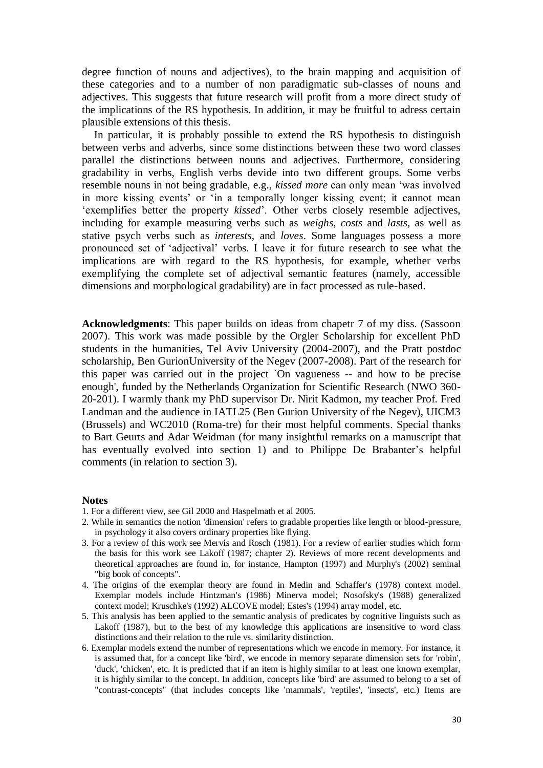degree function of nouns and adjectives), to the brain mapping and acquisition of these categories and to a number of non paradigmatic sub-classes of nouns and adjectives. This suggests that future research will profit from a more direct study of the implications of the RS hypothesis. In addition, it may be fruitful to adress certain plausible extensions of this thesis.

In particular, it is probably possible to extend the RS hypothesis to distinguish between verbs and adverbs, since some distinctions between these two word classes parallel the distinctions between nouns and adjectives. Furthermore, considering gradability in verbs, English verbs devide into two different groups. Some verbs resemble nouns in not being gradable, e.g., *kissed more* can only mean 'was involved in more kissing events' or 'in a temporally longer kissing event; it cannot mean 'exemplifies better the property *kissed*'. Other verbs closely resemble adjectives, including for example measuring verbs such as *weighs, costs* and *lasts,* as well as stative psych verbs such as *interests,* and *loves*. Some languages possess a more pronounced set of ‗adjectival' verbs. I leave it for future research to see what the implications are with regard to the RS hypothesis, for example, whether verbs exemplifying the complete set of adjectival semantic features (namely, accessible dimensions and morphological gradability) are in fact processed as rule-based.

**Acknowledgments**: This paper builds on ideas from chapetr 7 of my diss. (Sassoon 2007). This work was made possible by the Orgler Scholarship for excellent PhD students in the humanities, Tel Aviv University (2004-2007), and the Pratt postdoc scholarship, Ben GurionUniversity of the Negev (2007-2008). Part of the research for this paper was carried out in the project `On vagueness -- and how to be precise enough', funded by the Netherlands Organization for Scientific Research (NWO 360- 20-201). I warmly thank my PhD supervisor Dr. Nirit Kadmon, my teacher Prof. Fred Landman and the audience in IATL25 (Ben Gurion University of the Negev), UICM3 (Brussels) and WC2010 (Roma-tre) for their most helpful comments. Special thanks to Bart Geurts and Adar Weidman (for many insightful remarks on a manuscript that has eventually evolved into section 1) and to Philippe De Brabanter's helpful comments (in relation to section 3).

#### **Notes**

- 1. For a different view, see Gil 2000 and Haspelmath et al 2005.
- 2. While in semantics the notion 'dimension' refers to gradable properties like length or blood-pressure, in psychology it also covers ordinary properties like flying.
- 3. For a review of this work see Mervis and Rosch (1981). For a review of earlier studies which form the basis for this work see Lakoff (1987; chapter 2). Reviews of more recent developments and theoretical approaches are found in, for instance, Hampton (1997) and Murphy's (2002) seminal "big book of concepts".
- 4. The origins of the exemplar theory are found in Medin and Schaffer's (1978) context model. Exemplar models include Hintzman's (1986) Minerva model; Nosofsky's (1988) generalized context model; Kruschke's (1992) ALCOVE model; Estes's (1994) array model, etc.
- 5. This analysis has been applied to the semantic analysis of predicates by cognitive linguists such as Lakoff (1987), but to the best of my knowledge this applications are insensitive to word class distinctions and their relation to the rule vs. similarity distinction.
- 6. Exemplar models extend the number of representations which we encode in memory. For instance, it is assumed that, for a concept like 'bird', we encode in memory separate dimension sets for 'robin', 'duck', 'chicken', etc. It is predicted that if an item is highly similar to at least one known exemplar, it is highly similar to the concept. In addition, concepts like 'bird' are assumed to belong to a set of "contrast-concepts" (that includes concepts like 'mammals', 'reptiles', 'insects', etc.) Items are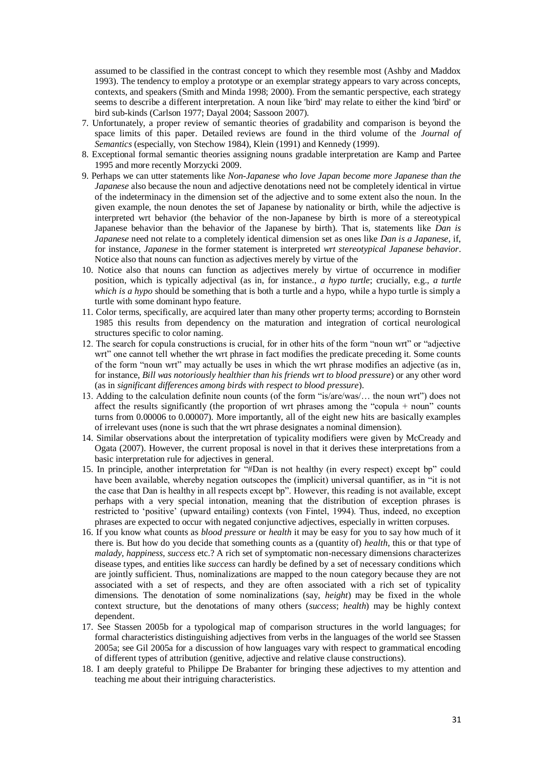assumed to be classified in the contrast concept to which they resemble most (Ashby and Maddox 1993). The tendency to employ a prototype or an exemplar strategy appears to vary across concepts, contexts, and speakers (Smith and Minda 1998; 2000). From the semantic perspective, each strategy seems to describe a different interpretation. A noun like 'bird' may relate to either the kind 'bird' or bird sub-kinds (Carlson 1977; Dayal 2004; Sassoon 2007).

- 7. Unfortunately, a proper review of semantic theories of gradability and comparison is beyond the space limits of this paper. Detailed reviews are found in the third volume of the *Journal of Semantics* (especially, von Stechow 1984), Klein (1991) and Kennedy (1999).
- 8. Exceptional formal semantic theories assigning nouns gradable interpretation are Kamp and Partee 1995 and more recently Morzycki 2009.
- 9. Perhaps we can utter statements like *Non-Japanese who love Japan become more Japanese than the Japanese* also because the noun and adjective denotations need not be completely identical in virtue of the indeterminacy in the dimension set of the adjective and to some extent also the noun. In the given example, the noun denotes the set of Japanese by nationality or birth, while the adjective is interpreted wrt behavior (the behavior of the non-Japanese by birth is more of a stereotypical Japanese behavior than the behavior of the Japanese by birth). That is, statements like *Dan is Japanese* need not relate to a completely identical dimension set as ones like *Dan is a Japanese*, if, for instance, *Japanese* in the former statement is interpreted *wrt stereotypical Japanese behavior*. Notice also that nouns can function as adjectives merely by virtue of the
- 10. Notice also that nouns can function as adjectives merely by virtue of occurrence in modifier position, which is typically adjectival (as in, for instance., *a hypo turtle*; crucially, e.g., *a turtle which is a hypo* should be something that is both a turtle and a hypo, while a hypo turtle is simply a turtle with some dominant hypo feature.
- 11. Color terms, specifically, are acquired later than many other property terms; according to Bornstein 1985 this results from dependency on the maturation and integration of cortical neurological structures specific to color naming.
- 12. The search for copula constructions is crucial, for in other hits of the form "noun wrt" or "adjective wrt" one cannot tell whether the wrt phrase in fact modifies the predicate preceding it. Some counts of the form "noun wrt" may actually be uses in which the wrt phrase modifies an adjective (as in, for instance, *Bill was notoriously healthier than his friends wrt to blood pressure*) or any other word (as in *significant differences among birds with respect to blood pressure*).
- 13. Adding to the calculation definite noun counts (of the form "is/are/was/... the noun wrt") does not affect the results significantly (the proportion of wrt phrases among the "copula + noun" counts turns from 0.00006 to 0.00007). More importantly, all of the eight new hits are basically examples of irrelevant uses (none is such that the wrt phrase designates a nominal dimension).
- 14. Similar observations about the interpretation of typicality modifiers were given by McCready and Ogata (2007). However, the current proposal is novel in that it derives these interpretations from a basic interpretation rule for adjectives in general.
- 15. In principle, another interpretation for "#Dan is not healthy (in every respect) except bp" could have been available, whereby negation outscopes the (implicit) universal quantifier, as in "it is not the case that Dan is healthy in all respects except bp". However, this reading is not available, except perhaps with a very special intonation, meaning that the distribution of exception phrases is restricted to 'positive' (upward entailing) contexts (von Fintel, 1994). Thus, indeed, no exception phrases are expected to occur with negated conjunctive adjectives, especially in written corpuses.
- 16. If you know what counts as *blood pressure* or *health* it may be easy for you to say how much of it there is. But how do you decide that something counts as a (quantity of) *health*, this or that type of *malady*, *happiness, success* etc.? A rich set of symptomatic non-necessary dimensions characterizes disease types, and entities like *success* can hardly be defined by a set of necessary conditions which are jointly sufficient. Thus, nominalizations are mapped to the noun category because they are not associated with a set of respects, and they are often associated with a rich set of typicality dimensions. The denotation of some nominalizations (say, *height*) may be fixed in the whole context structure, but the denotations of many others (*success*; *health*) may be highly context dependent.
- 17. See Stassen 2005b for a typological map of comparison structures in the world languages; for formal characteristics distinguishing adjectives from verbs in the languages of the world see Stassen 2005a; see Gil 2005a for a discussion of how languages vary with respect to grammatical encoding of different types of attribution (genitive, adjective and relative clause constructions).
- 18. I am deeply grateful to Philippe De Brabanter for bringing these adjectives to my attention and teaching me about their intriguing characteristics.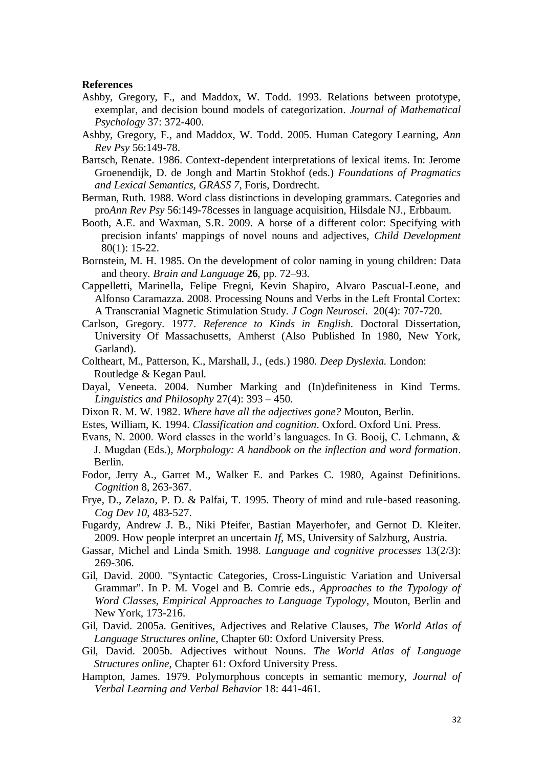#### **References**

- Ashby, Gregory, F., and Maddox, W. Todd. 1993. Relations between prototype, exemplar, and decision bound models of categorization. *Journal of Mathematical Psychology* 37: 372-400.
- Ashby, Gregory, F., and Maddox, W. Todd. 2005. Human Category Learning, *Ann Rev Psy* 56:149-78.
- Bartsch, Renate. 1986. Context-dependent interpretations of lexical items. In: Jerome Groenendijk, D. de Jongh and Martin Stokhof (eds.) *Foundations of Pragmatics and Lexical Semantics, GRASS 7*, Foris, Dordrecht.
- Berman, Ruth. 1988. Word class distinctions in developing grammars. Categories and pro*Ann Rev Psy* 56:149-78cesses in language acquisition, Hilsdale NJ., Erbbaum.
- Booth, A.E. and Waxman, S.R. 2009. A horse of a different color: Specifying with precision infants' mappings of novel nouns and adjectives, *Child Development* 80(1): 15-22.
- Bornstein, M. H. 1985. On the development of color naming in young children: Data and theory. *Brain and Language* **26**, pp. 72–93.
- Cappelletti, Marinella, Felipe Fregni, Kevin Shapiro, Alvaro Pascual-Leone, and Alfonso Caramazza. 2008. Processing Nouns and Verbs in the Left Frontal Cortex: A Transcranial Magnetic Stimulation Study. *J Cogn Neurosci*. 20(4): 707-720.
- Carlson, Gregory. 1977. *Reference to Kinds in English.* Doctoral Dissertation, University Of Massachusetts, Amherst (Also Published In 1980, New York, Garland).
- Coltheart, M., Patterson, K., Marshall, J., (eds.) 1980. *Deep Dyslexia.* London: Routledge & Kegan Paul.
- Dayal, Veneeta. 2004. Number Marking and (In)definiteness in Kind Terms. *Linguistics and Philosophy* 27(4): 393 – 450.
- Dixon R. M. W. 1982. *Where have all the adjectives gone?* Mouton, Berlin.
- Estes, William, K. 1994. *Classification and cognition*. Oxford. Oxford Uni. Press.
- Evans, N. 2000. Word classes in the world's languages. In G. Booij, C. Lehmann, & J. Mugdan (Eds.), *Morphology: A handbook on the inflection and word formation*. Berlin.
- Fodor, Jerry A., Garret M., Walker E. and Parkes C. 1980, Against Definitions. *Cognition* 8, 263-367.
- Frye, D., Zelazo, P. D. & Palfai, T. 1995. Theory of mind and rule-based reasoning. *Cog Dev 10*, 483-527.
- Fugardy, Andrew J. B., Niki Pfeifer, Bastian Mayerhofer, and Gernot D. Kleiter. 2009. How people interpret an uncertain *If*, MS, University of Salzburg, Austria.
- Gassar, Michel and Linda Smith. 1998. *Language and cognitive processes* 13(2/3): 269-306.
- Gil, David. 2000. "Syntactic Categories, Cross-Linguistic Variation and Universal Grammar". In P. M. Vogel and B. Comrie eds., *Approaches to the Typology of Word Classes, Empirical Approaches to Language Typology*, Mouton, Berlin and New York, 173-216.
- Gil, David. 2005a. Genitives, Adjectives and Relative Clauses, *The World Atlas of Language Structures online*, Chapter 60: Oxford University Press.
- Gil, David. 2005b. Adjectives without Nouns. *The World Atlas of Language Structures online*, Chapter 61: Oxford University Press.
- Hampton, James. 1979. Polymorphous concepts in semantic memory, *Journal of Verbal Learning and Verbal Behavior* 18: 441-461.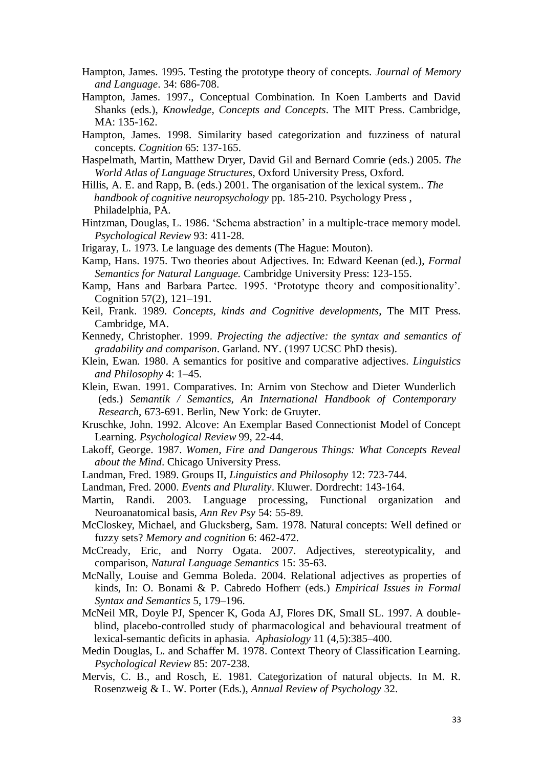- Hampton, James. 1995. Testing the prototype theory of concepts. *Journal of Memory and Language*. 34: 686-708.
- Hampton, James. 1997., Conceptual Combination. In Koen Lamberts and David Shanks (eds.), *Knowledge, Concepts and Concepts*. The MIT Press. Cambridge, MA: 135-162.
- Hampton, James. 1998. Similarity based categorization and fuzziness of natural concepts. *Cognition* 65: 137-165.
- Haspelmath, Martin, Matthew Dryer, David Gil and Bernard Comrie (eds.) 2005. *The World Atlas of Language Structures*, Oxford University Press, Oxford.
- Hillis, A. E. and Rapp, B. (eds.) 2001. The organisation of the lexical system.. *The handbook of cognitive neuropsychology* pp. 185-210. Psychology Press , Philadelphia, PA.
- Hintzman, Douglas, L. 1986. 'Schema abstraction' in a multiple-trace memory model. *Psychological Review* 93: 411-28.
- Irigaray, L. 1973. Le language des dements (The Hague: Mouton).
- Kamp, Hans. 1975. Two theories about Adjectives. In: Edward Keenan (ed.), *Formal Semantics for Natural Language.* Cambridge University Press: 123-155.
- Kamp, Hans and Barbara Partee. 1995. ‗Prototype theory and compositionality'. Cognition 57(2), 121–191.
- Keil, Frank. 1989. *Concepts, kinds and Cognitive developments*, The MIT Press. Cambridge, MA.
- Kennedy, Christopher. 1999. *Projecting the adjective: the syntax and semantics of gradability and comparison*. Garland. NY. (1997 UCSC PhD thesis).
- Klein, Ewan. 1980. A semantics for positive and comparative adjectives. *Linguistics and Philosophy* 4: 1–45.
- Klein, Ewan. 1991. Comparatives. In: Arnim von Stechow and Dieter Wunderlich (eds.) *Semantik / Semantics, An International Handbook of Contemporary Research*, 673-691. Berlin, New York: de Gruyter.
- Kruschke, John. 1992. Alcove: An Exemplar Based Connectionist Model of Concept Learning. *Psychological Review* 99, 22-44.
- Lakoff, George. 1987. *Women, Fire and Dangerous Things: What Concepts Reveal about the Mind*. Chicago University Press.
- Landman, Fred. 1989. Groups II, *Linguistics and Philosophy* 12: 723-744.
- Landman, Fred. 2000. *Events and Plurality*. Kluwer. Dordrecht: 143-164.
- Martin, Randi. 2003. Language processing, Functional organization and Neuroanatomical basis, *Ann Rev Psy* 54: 55-89.
- McCloskey, Michael, and Glucksberg, Sam. 1978. Natural concepts: Well defined or fuzzy sets? *Memory and cognition* 6: 462-472.
- McCready, Eric, and Norry Ogata. 2007. Adjectives, stereotypicality, and comparison, *Natural Language Semantics* 15: 35-63.
- McNally, Louise and Gemma Boleda. 2004. Relational adjectives as properties of kinds, In: O. Bonami & P. Cabredo Hofherr (eds.) *Empirical Issues in Formal Syntax and Semantics* 5, 179–196.
- McNeil MR, Doyle PJ, Spencer K, Goda AJ, Flores DK, Small SL. 1997. A doubleblind, placebo-controlled study of pharmacological and behavioural treatment of lexical-semantic deficits in aphasia. *Aphasiology* 11 (4,5):385–400.
- Medin Douglas, L. and Schaffer M. 1978. Context Theory of Classification Learning. *Psychological Review* 85: 207-238.
- Mervis, C. B., and Rosch, E. 1981. Categorization of natural objects. In M. R. Rosenzweig & L. W. Porter (Eds.), *Annual Review of Psychology* 32.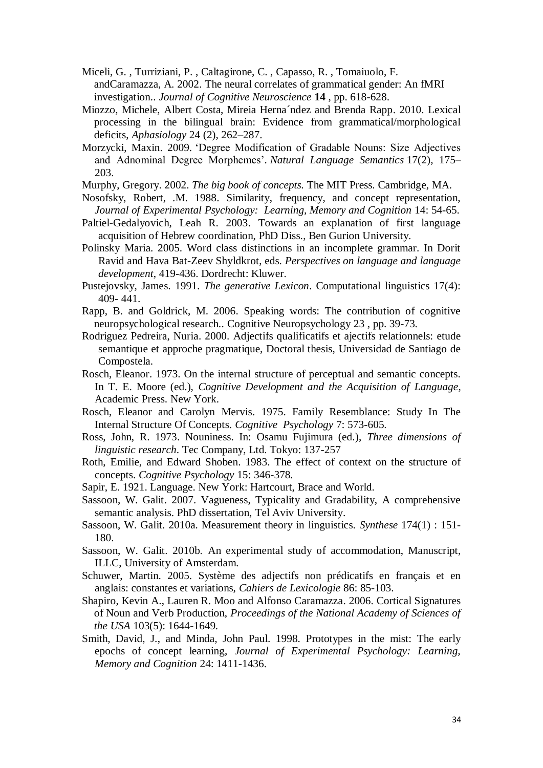- Miceli, G. , Turriziani, P. , Caltagirone, C. , Capasso, R. , Tomaiuolo, F. andCaramazza, A. 2002. The neural correlates of grammatical gender: An fMRI investigation.. *Journal of Cognitive Neuroscience* **14** , pp. 618-628.
- Miozzo, Michele, Albert Costa, Mireia Herna´ndez and Brenda Rapp. 2010. Lexical processing in the bilingual brain: Evidence from grammatical/morphological deficits, *Aphasiology* 24 (2), 262–287.
- Morzycki, Maxin. 2009. 'Degree Modification of Gradable Nouns: Size Adjectives [and Adnominal Degree Morphemes'.](http://dx.doi.org/10.1007/s11050-009-9045-7) *[Natural Language Semantics](http://www.springerlink.com/content/102969/)* 17(2), 175– 203.
- Murphy, Gregory. 2002. *The big book of concepts.* The MIT Press. Cambridge, MA.
- Nosofsky, Robert, .M. 1988. Similarity, frequency, and concept representation, *Journal of Experimental Psychology: Learning, Memory and Cognition* 14: 54-65.
- Paltiel-Gedalyovich, Leah R. 2003. Towards an explanation of first language acquisition of Hebrew coordination, PhD Diss., Ben Gurion University.
- Polinsky Maria. 2005. Word class distinctions in an incomplete grammar. In Dorit Ravid and Hava Bat-Zeev Shyldkrot, eds. *Perspectives on language and language development*, 419-436. Dordrecht: Kluwer.
- Pustejovsky, James. 1991. *The generative Lexicon*. Computational linguistics 17(4): 409- 441.
- Rapp, B. and Goldrick, M. 2006. [Speaking words: The contribution of cognitive](http://www.informaworld.com/smpp/content%7Edb=all%7Econtent=a741532712%7Ejumptype=ref_internal%7Efromvnxs=v24n2s10%7Efromtitle=713393920%7Econs=907217973)  [neuropsychological research.. Cognitive Neuropsychology 2](http://www.informaworld.com/smpp/content%7Edb=all%7Econtent=a741532712%7Ejumptype=ref_internal%7Efromvnxs=v24n2s10%7Efromtitle=713393920%7Econs=907217973)3 , pp. 39-73.
- Rodriguez Pedreira, Nuria. 2000. Adjectifs qualificatifs et ajectifs relationnels: etude semantique et approche pragmatique, Doctoral thesis, Universidad de Santiago de Compostela.
- Rosch, Eleanor. 1973. On the internal structure of perceptual and semantic concepts. In T. E. Moore (ed.), *Cognitive Development and the Acquisition of Language*, Academic Press. New York.
- Rosch, Eleanor and Carolyn Mervis. 1975. Family Resemblance: Study In The Internal Structure Of Concepts. *Cognitive Psychology* 7: 573-605.
- Ross, John, R. 1973. Nouniness. In: Osamu Fujimura (ed.), *Three dimensions of linguistic research*. Tec Company, Ltd. Tokyo: 137-257
- Roth, Emilie, and Edward Shoben. 1983. The effect of context on the structure of concepts. *Cognitive Psychology* 15: 346-378.
- Sapir, E. 1921. Language. New York: Hartcourt, Brace and World.
- Sassoon, W. Galit. 2007. Vagueness, Typicality and Gradability, A comprehensive semantic analysis. PhD dissertation, Tel Aviv University.
- Sassoon, W. Galit. 2010a. Measurement theory in linguistics. *Synthese* 174(1) : 151- 180.
- Sassoon, W. Galit. 2010b. An experimental study of accommodation, Manuscript, ILLC, University of Amsterdam.
- Schuwer, Martin. 2005. Système des adjectifs non prédicatifs en français et en anglais: constantes et variations, *Cahiers de Lexicologie* 86: 85-103.
- Shapiro, Kevin A., Lauren R. Moo and Alfonso Caramazza. 2006. Cortical Signatures of Noun and Verb Production, *[Proceedings of the National Academy of Sciences of](http://www.jstor.org/action/showPublication?journalCode=procnatiacadscie)  [the USA](http://www.jstor.org/action/showPublication?journalCode=procnatiacadscie)* 103(5): 1644-1649.
- Smith, David, J., and Minda, John Paul. 1998. Prototypes in the mist: The early epochs of concept learning, *Journal of Experimental Psychology: Learning, Memory and Cognition* 24: 1411-1436.